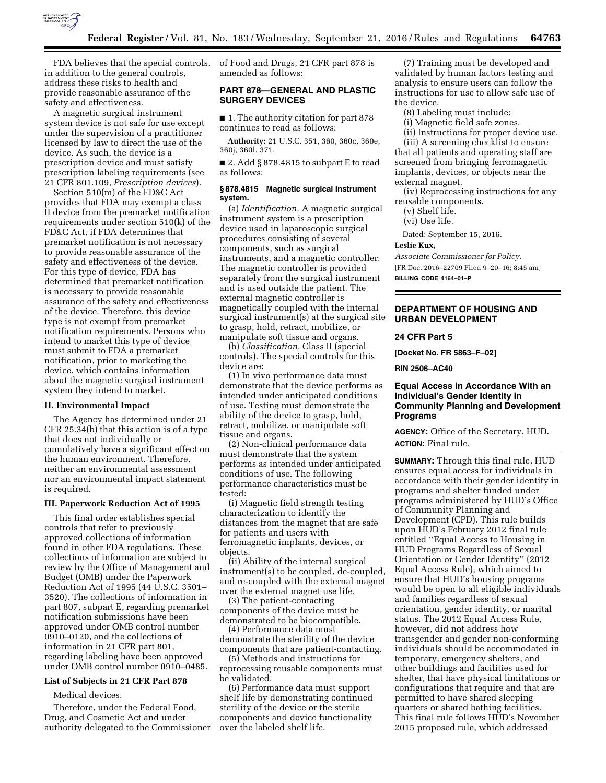

FDA believes that the special controls, in addition to the general controls, address these risks to health and provide reasonable assurance of the safety and effectiveness.

A magnetic surgical instrument system device is not safe for use except under the supervision of a practitioner licensed by law to direct the use of the device. As such, the device is a prescription device and must satisfy prescription labeling requirements (see 21 CFR 801.109, *Prescription devices*).

Section 510(m) of the FD&C Act provides that FDA may exempt a class II device from the premarket notification requirements under section 510(k) of the FD&C Act, if FDA determines that premarket notification is not necessary to provide reasonable assurance of the safety and effectiveness of the device. For this type of device, FDA has determined that premarket notification is necessary to provide reasonable assurance of the safety and effectiveness of the device. Therefore, this device type is not exempt from premarket notification requirements. Persons who intend to market this type of device must submit to FDA a premarket notification, prior to marketing the device, which contains information about the magnetic surgical instrument system they intend to market.

#### **II. Environmental Impact**

The Agency has determined under 21 CFR 25.34(b) that this action is of a type that does not individually or cumulatively have a significant effect on the human environment. Therefore, neither an environmental assessment nor an environmental impact statement is required.

#### **III. Paperwork Reduction Act of 1995**

This final order establishes special controls that refer to previously approved collections of information found in other FDA regulations. These collections of information are subject to review by the Office of Management and Budget (OMB) under the Paperwork Reduction Act of 1995 (44 U.S.C. 3501– 3520). The collections of information in part 807, subpart E, regarding premarket notification submissions have been approved under OMB control number 0910–0120, and the collections of information in 21 CFR part 801, regarding labeling have been approved under OMB control number 0910–0485.

### **List of Subjects in 21 CFR Part 878**

Medical devices.

Therefore, under the Federal Food, Drug, and Cosmetic Act and under authority delegated to the Commissioner of Food and Drugs, 21 CFR part 878 is amended as follows:

# **PART 878—GENERAL AND PLASTIC SURGERY DEVICES**

■ 1. The authority citation for part 878 continues to read as follows:

**Authority:** 21 U.S.C. 351, 360, 360c, 360e, 360j, 360l, 371.

■ 2. Add § 878.4815 to subpart E to read as follows:

# **§ 878.4815 Magnetic surgical instrument system.**

(a) *Identification.* A magnetic surgical instrument system is a prescription device used in laparoscopic surgical procedures consisting of several components, such as surgical instruments, and a magnetic controller. The magnetic controller is provided separately from the surgical instrument and is used outside the patient. The external magnetic controller is magnetically coupled with the internal surgical instrument(s) at the surgical site to grasp, hold, retract, mobilize, or manipulate soft tissue and organs.

(b) *Classification.* Class II (special controls). The special controls for this device are:

(1) In vivo performance data must demonstrate that the device performs as intended under anticipated conditions of use. Testing must demonstrate the ability of the device to grasp, hold, retract, mobilize, or manipulate soft tissue and organs.

(2) Non-clinical performance data must demonstrate that the system performs as intended under anticipated conditions of use. The following performance characteristics must be tested:

(i) Magnetic field strength testing characterization to identify the distances from the magnet that are safe for patients and users with ferromagnetic implants, devices, or objects.

(ii) Ability of the internal surgical instrument(s) to be coupled, de-coupled, and re-coupled with the external magnet over the external magnet use life.

(3) The patient-contacting components of the device must be demonstrated to be biocompatible.

(4) Performance data must demonstrate the sterility of the device components that are patient-contacting.

(5) Methods and instructions for reprocessing reusable components must be validated.

(6) Performance data must support shelf life by demonstrating continued sterility of the device or the sterile components and device functionality over the labeled shelf life.

(7) Training must be developed and validated by human factors testing and analysis to ensure users can follow the instructions for use to allow safe use of the device.

(8) Labeling must include:

(i) Magnetic field safe zones.

(ii) Instructions for proper device use. (iii) A screening checklist to ensure

that all patients and operating staff are screened from bringing ferromagnetic implants, devices, or objects near the external magnet.

(iv) Reprocessing instructions for any reusable components.

(v) Shelf life.

(vi) Use life.

Dated: September 15, 2016.

### **Leslie Kux,**

*Associate Commissioner for Policy.*  [FR Doc. 2016–22709 Filed 9–20–16; 8:45 am]

**BILLING CODE 4164–01–P** 

## **DEPARTMENT OF HOUSING AND URBAN DEVELOPMENT**

# **24 CFR Part 5**

**[Docket No. FR 5863–F–02]** 

**RIN 2506–AC40** 

## **Equal Access in Accordance With an Individual's Gender Identity in Community Planning and Development Programs**

**AGENCY:** Office of the Secretary, HUD. **ACTION:** Final rule.

**SUMMARY:** Through this final rule, HUD ensures equal access for individuals in accordance with their gender identity in programs and shelter funded under programs administered by HUD's Office of Community Planning and Development (CPD). This rule builds upon HUD's February 2012 final rule entitled ''Equal Access to Housing in HUD Programs Regardless of Sexual Orientation or Gender Identity'' (2012 Equal Access Rule), which aimed to ensure that HUD's housing programs would be open to all eligible individuals and families regardless of sexual orientation, gender identity, or marital status. The 2012 Equal Access Rule, however, did not address how transgender and gender non-conforming individuals should be accommodated in temporary, emergency shelters, and other buildings and facilities used for shelter, that have physical limitations or configurations that require and that are permitted to have shared sleeping quarters or shared bathing facilities. This final rule follows HUD's November 2015 proposed rule, which addressed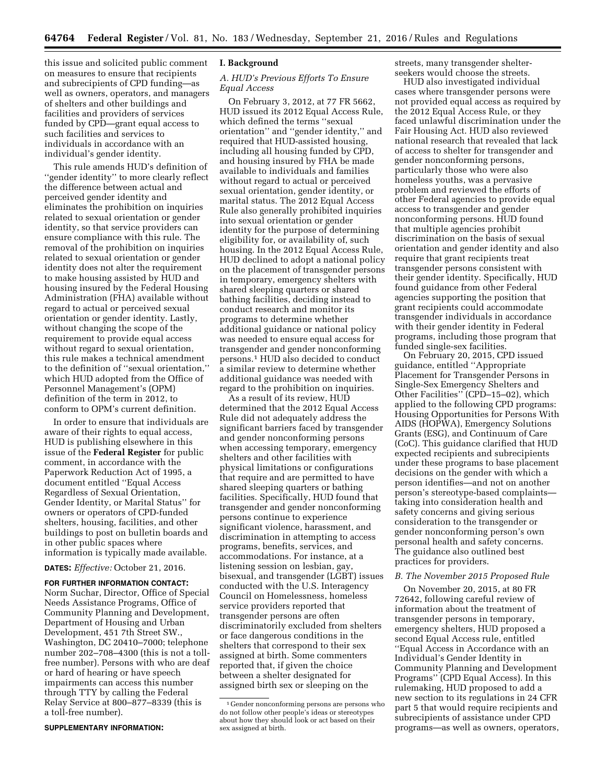this issue and solicited public comment on measures to ensure that recipients and subrecipients of CPD funding—as well as owners, operators, and managers of shelters and other buildings and facilities and providers of services funded by CPD—grant equal access to such facilities and services to individuals in accordance with an individual's gender identity.

This rule amends HUD's definition of "gender identity" to more clearly reflect the difference between actual and perceived gender identity and eliminates the prohibition on inquiries related to sexual orientation or gender identity, so that service providers can ensure compliance with this rule. The removal of the prohibition on inquiries related to sexual orientation or gender identity does not alter the requirement to make housing assisted by HUD and housing insured by the Federal Housing Administration (FHA) available without regard to actual or perceived sexual orientation or gender identity. Lastly, without changing the scope of the requirement to provide equal access without regard to sexual orientation, this rule makes a technical amendment to the definition of ''sexual orientation,'' which HUD adopted from the Office of Personnel Management's (OPM) definition of the term in 2012, to conform to OPM's current definition.

In order to ensure that individuals are aware of their rights to equal access, HUD is publishing elsewhere in this issue of the **Federal Register** for public comment, in accordance with the Paperwork Reduction Act of 1995, a document entitled ''Equal Access Regardless of Sexual Orientation, Gender Identity, or Marital Status'' for owners or operators of CPD-funded shelters, housing, facilities, and other buildings to post on bulletin boards and in other public spaces where information is typically made available.

**DATES:** *Effective:* October 21, 2016.

**FOR FURTHER INFORMATION CONTACT:**  Norm Suchar, Director, Office of Special Needs Assistance Programs, Office of Community Planning and Development, Department of Housing and Urban Development, 451 7th Street SW., Washington, DC 20410–7000; telephone number 202–708–4300 (this is not a tollfree number). Persons with who are deaf or hard of hearing or have speech impairments can access this number through TTY by calling the Federal Relay Service at 800–877–8339 (this is a toll-free number).

#### **SUPPLEMENTARY INFORMATION:**

#### **I. Background**

### *A. HUD's Previous Efforts To Ensure Equal Access*

On February 3, 2012, at 77 FR 5662, HUD issued its 2012 Equal Access Rule, which defined the terms ''sexual orientation'' and ''gender identity,'' and required that HUD-assisted housing, including all housing funded by CPD, and housing insured by FHA be made available to individuals and families without regard to actual or perceived sexual orientation, gender identity, or marital status. The 2012 Equal Access Rule also generally prohibited inquiries into sexual orientation or gender identity for the purpose of determining eligibility for, or availability of, such housing. In the 2012 Equal Access Rule, HUD declined to adopt a national policy on the placement of transgender persons in temporary, emergency shelters with shared sleeping quarters or shared bathing facilities, deciding instead to conduct research and monitor its programs to determine whether additional guidance or national policy was needed to ensure equal access for transgender and gender nonconforming persons.1 HUD also decided to conduct a similar review to determine whether additional guidance was needed with regard to the prohibition on inquiries.

As a result of its review, HUD determined that the 2012 Equal Access Rule did not adequately address the significant barriers faced by transgender and gender nonconforming persons when accessing temporary, emergency shelters and other facilities with physical limitations or configurations that require and are permitted to have shared sleeping quarters or bathing facilities. Specifically, HUD found that transgender and gender nonconforming persons continue to experience significant violence, harassment, and discrimination in attempting to access programs, benefits, services, and accommodations. For instance, at a listening session on lesbian, gay, bisexual, and transgender (LGBT) issues conducted with the U.S. Interagency Council on Homelessness, homeless service providers reported that transgender persons are often discriminatorily excluded from shelters or face dangerous conditions in the shelters that correspond to their sex assigned at birth. Some commenters reported that, if given the choice between a shelter designated for assigned birth sex or sleeping on the

streets, many transgender shelterseekers would choose the streets.

HUD also investigated individual cases where transgender persons were not provided equal access as required by the 2012 Equal Access Rule, or they faced unlawful discrimination under the Fair Housing Act. HUD also reviewed national research that revealed that lack of access to shelter for transgender and gender nonconforming persons, particularly those who were also homeless youths, was a pervasive problem and reviewed the efforts of other Federal agencies to provide equal access to transgender and gender nonconforming persons. HUD found that multiple agencies prohibit discrimination on the basis of sexual orientation and gender identity and also require that grant recipients treat transgender persons consistent with their gender identity. Specifically, HUD found guidance from other Federal agencies supporting the position that grant recipients could accommodate transgender individuals in accordance with their gender identity in Federal programs, including those program that funded single-sex facilities.

On February 20, 2015, CPD issued guidance, entitled ''Appropriate Placement for Transgender Persons in Single-Sex Emergency Shelters and Other Facilities'' (CPD–15–02), which applied to the following CPD programs: Housing Opportunities for Persons With AIDS (HOPWA), Emergency Solutions Grants (ESG), and Continuum of Care (CoC). This guidance clarified that HUD expected recipients and subrecipients under these programs to base placement decisions on the gender with which a person identifies—and not on another person's stereotype-based complaints taking into consideration health and safety concerns and giving serious consideration to the transgender or gender nonconforming person's own personal health and safety concerns. The guidance also outlined best practices for providers.

#### *B. The November 2015 Proposed Rule*

On November 20, 2015, at 80 FR 72642, following careful review of information about the treatment of transgender persons in temporary, emergency shelters, HUD proposed a second Equal Access rule, entitled ''Equal Access in Accordance with an Individual's Gender Identity in Community Planning and Development Programs'' (CPD Equal Access). In this rulemaking, HUD proposed to add a new section to its regulations in 24 CFR part 5 that would require recipients and subrecipients of assistance under CPD programs—as well as owners, operators,

<sup>1</sup> Gender nonconforming persons are persons who do not follow other people's ideas or stereotypes about how they should look or act based on their sex assigned at birth.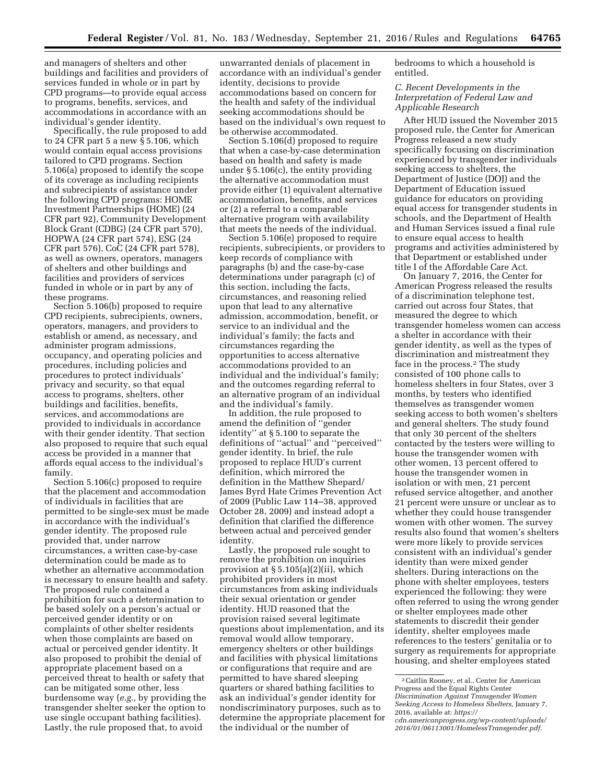and managers of shelters and other buildings and facilities and providers of services funded in whole or in part by CPD programs—to provide equal access to programs, benefits, services, and accommodations in accordance with an individual's gender identity.

Specifically, the rule proposed to add to 24 CFR part 5 a new § 5.106, which would contain equal access provisions tailored to CPD programs. Section 5.106(a) proposed to identify the scope of its coverage as including recipients and subrecipients of assistance under the following CPD programs: HOME Investment Partnerships (HOME) (24 CFR part 92), Community Development Block Grant (CDBG) (24 CFR part 570), HOPWA (24 CFR part 574), ESG (24 CFR part 576), CoC (24 CFR part 578), as well as owners, operators, managers of shelters and other buildings and facilities and providers of services funded in whole or in part by any of these programs.

Section 5.106(b) proposed to require CPD recipients, subrecipients, owners, operators, managers, and providers to establish or amend, as necessary, and administer program admissions, occupancy, and operating policies and procedures, including policies and procedures to protect individuals' privacy and security, so that equal access to programs, shelters, other buildings and facilities, benefits, services, and accommodations are provided to individuals in accordance with their gender identity. That section also proposed to require that such equal access be provided in a manner that affords equal access to the individual's family.

Section 5.106(c) proposed to require that the placement and accommodation of individuals in facilities that are permitted to be single-sex must be made in accordance with the individual's gender identity. The proposed rule provided that, under narrow circumstances, a written case-by-case determination could be made as to whether an alternative accommodation is necessary to ensure health and safety. The proposed rule contained a prohibition for such a determination to be based solely on a person's actual or perceived gender identity or on complaints of other shelter residents when those complaints are based on actual or perceived gender identity. It also proposed to prohibit the denial of appropriate placement based on a perceived threat to health or safety that can be mitigated some other, less burdensome way (*e.g.,* by providing the transgender shelter seeker the option to use single occupant bathing facilities). Lastly, the rule proposed that, to avoid

unwarranted denials of placement in accordance with an individual's gender identity, decisions to provide accommodations based on concern for the health and safety of the individual seeking accommodations should be based on the individual's own request to be otherwise accommodated.

Section 5.106(d) proposed to require that when a case-by-case determination based on health and safety is made under § 5.106(c), the entity providing the alternative accommodation must provide either (1) equivalent alternative accommodation, benefits, and services or (2) a referral to a comparable alternative program with availability that meets the needs of the individual.

Section 5.106(e) proposed to require recipients, subrecipients, or providers to keep records of compliance with paragraphs (b) and the case-by-case determinations under paragraph (c) of this section, including the facts, circumstances, and reasoning relied upon that lead to any alternative admission, accommodation, benefit, or service to an individual and the individual's family; the facts and circumstances regarding the opportunities to access alternative accommodations provided to an individual and the individual's family; and the outcomes regarding referral to an alternative program of an individual and the individual's family.

In addition, the rule proposed to amend the definition of ''gender identity'' at § 5.100 to separate the definitions of ''actual'' and ''perceived'' gender identity. In brief, the rule proposed to replace HUD's current definition, which mirrored the definition in the Matthew Shepard/ James Byrd Hate Crimes Prevention Act of 2009 (Public Law 114–38, approved October 28, 2009) and instead adopt a definition that clarified the difference between actual and perceived gender identity.

Lastly, the proposed rule sought to remove the prohibition on inquiries provision at  $\S 5.105(a)(2)(ii)$ , which prohibited providers in most circumstances from asking individuals their sexual orientation or gender identity. HUD reasoned that the provision raised several legitimate questions about implementation, and its removal would allow temporary, emergency shelters or other buildings and facilities with physical limitations or configurations that require and are permitted to have shared sleeping quarters or shared bathing facilities to ask an individual's gender identity for nondiscriminatory purposes, such as to determine the appropriate placement for the individual or the number of

bedrooms to which a household is entitled.

## *C. Recent Developments in the Interpretation of Federal Law and Applicable Research*

After HUD issued the November 2015 proposed rule, the Center for American Progress released a new study specifically focusing on discrimination experienced by transgender individuals seeking access to shelters, the Department of Justice (DOJ) and the Department of Education issued guidance for educators on providing equal access for transgender students in schools, and the Department of Health and Human Services issued a final rule to ensure equal access to health programs and activities administered by that Department or established under title I of the Affordable Care Act.

On January 7, 2016, the Center for American Progress released the results of a discrimination telephone test, carried out across four States, that measured the degree to which transgender homeless women can access a shelter in accordance with their gender identity, as well as the types of discrimination and mistreatment they face in the process.2 The study consisted of 100 phone calls to homeless shelters in four States, over 3 months, by testers who identified themselves as transgender women seeking access to both women's shelters and general shelters. The study found that only 30 percent of the shelters contacted by the testers were willing to house the transgender women with other women, 13 percent offered to house the transgender women in isolation or with men, 21 percent refused service altogether, and another 21 percent were unsure or unclear as to whether they could house transgender women with other women. The survey results also found that women's shelters were more likely to provide services consistent with an individual's gender identity than were mixed gender shelters. During interactions on the phone with shelter employees, testers experienced the following: they were often referred to using the wrong gender or shelter employees made other statements to discredit their gender identity, shelter employees made references to the testers' genitalia or to surgery as requirements for appropriate housing, and shelter employees stated

<sup>2</sup>Caitlin Rooney, et al., Center for American Progress and the Equal Rights Center *Discrimination Against Transgender Women Seeking Access to Homeless Shelters,* January 7, 2016, available at: *https://* 

*cdn.americanprogress.org/wp-content/uploads/ 2016/01/06113001/HomelessTransgender.pdf.*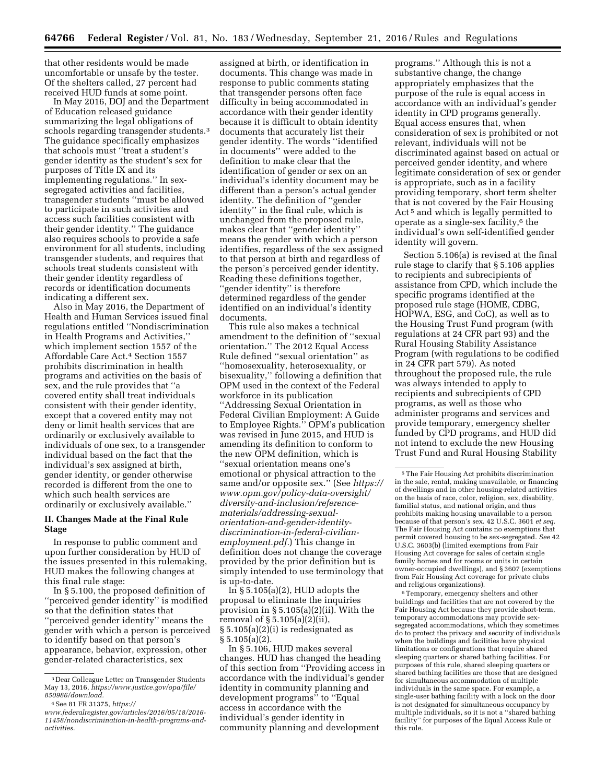that other residents would be made uncomfortable or unsafe by the tester. Of the shelters called, 27 percent had received HUD funds at some point.

In May 2016, DOJ and the Department of Education released guidance summarizing the legal obligations of schools regarding transgender students.<sup>3</sup> The guidance specifically emphasizes that schools must ''treat a student's gender identity as the student's sex for purposes of Title IX and its implementing regulations.'' In sexsegregated activities and facilities, transgender students ''must be allowed to participate in such activities and access such facilities consistent with their gender identity.'' The guidance also requires schools to provide a safe environment for all students, including transgender students, and requires that schools treat students consistent with their gender identity regardless of records or identification documents indicating a different sex.

Also in May 2016, the Department of Health and Human Services issued final regulations entitled ''Nondiscrimination in Health Programs and Activities,'' which implement section 1557 of the Affordable Care Act.4 Section 1557 prohibits discrimination in health programs and activities on the basis of sex, and the rule provides that ''a covered entity shall treat individuals consistent with their gender identity, except that a covered entity may not deny or limit health services that are ordinarily or exclusively available to individuals of one sex, to a transgender individual based on the fact that the individual's sex assigned at birth, gender identity, or gender otherwise recorded is different from the one to which such health services are ordinarily or exclusively available.''

### **II. Changes Made at the Final Rule Stage**

In response to public comment and upon further consideration by HUD of the issues presented in this rulemaking, HUD makes the following changes at this final rule stage:

In § 5.100, the proposed definition of ''perceived gender identity'' is modified so that the definition states that ''perceived gender identity'' means the gender with which a person is perceived to identify based on that person's appearance, behavior, expression, other gender-related characteristics, sex

assigned at birth, or identification in documents. This change was made in response to public comments stating that transgender persons often face difficulty in being accommodated in accordance with their gender identity because it is difficult to obtain identity documents that accurately list their gender identity. The words ''identified in documents'' were added to the definition to make clear that the identification of gender or sex on an individual's identity document may be different than a person's actual gender identity. The definition of ''gender identity'' in the final rule, which is unchanged from the proposed rule, makes clear that ''gender identity'' means the gender with which a person identifies, regardless of the sex assigned to that person at birth and regardless of the person's perceived gender identity. Reading these definitions together, ''gender identity'' is therefore determined regardless of the gender identified on an individual's identity documents.

This rule also makes a technical amendment to the definition of ''sexual orientation.'' The 2012 Equal Access Rule defined ''sexual orientation'' as ''homosexuality, heterosexuality, or bisexuality,'' following a definition that OPM used in the context of the Federal workforce in its publication ''Addressing Sexual Orientation in Federal Civilian Employment: A Guide to Employee Rights.'' OPM's publication was revised in June 2015, and HUD is amending its definition to conform to the new OPM definition, which is ''sexual orientation means one's emotional or physical attraction to the same and/or opposite sex.'' (See *https:// www.opm.gov/policy-data-oversight/ diversity-and-inclusion/referencematerials/addressing-sexualorientation-and-gender-identitydiscrimination-in-federal-civilianemployment.pdf.*) This change in definition does not change the coverage provided by the prior definition but is simply intended to use terminology that is up-to-date.

In  $\S 5.105(a)(2)$ , HUD adopts the proposal to eliminate the inquiries provision in § 5.105(a)(2)(ii). With the removal of § 5.105(a)(2)(ii), § 5.105(a)(2)(i) is redesignated as § 5.105(a)(2).

In § 5.106, HUD makes several changes. HUD has changed the heading of this section from ''Providing access in accordance with the individual's gender identity in community planning and development programs'' to ''Equal access in accordance with the individual's gender identity in community planning and development

programs.'' Although this is not a substantive change, the change appropriately emphasizes that the purpose of the rule is equal access in accordance with an individual's gender identity in CPD programs generally. Equal access ensures that, when consideration of sex is prohibited or not relevant, individuals will not be discriminated against based on actual or perceived gender identity, and where legitimate consideration of sex or gender is appropriate, such as in a facility providing temporary, short term shelter that is not covered by the Fair Housing Act 5 and which is legally permitted to operate as a single-sex facility,<sup>6</sup> the individual's own self-identified gender identity will govern.

Section 5.106(a) is revised at the final rule stage to clarify that § 5.106 applies to recipients and subrecipients of assistance from CPD, which include the specific programs identified at the proposed rule stage (HOME, CDBG, HOPWA, ESG, and CoC), as well as to the Housing Trust Fund program (with regulations at 24 CFR part 93) and the Rural Housing Stability Assistance Program (with regulations to be codified in 24 CFR part 579). As noted throughout the proposed rule, the rule was always intended to apply to recipients and subrecipients of CPD programs, as well as those who administer programs and services and provide temporary, emergency shelter funded by CPD programs, and HUD did not intend to exclude the new Housing Trust Fund and Rural Housing Stability

6Temporary, emergency shelters and other buildings and facilities that are not covered by the Fair Housing Act because they provide short-term, temporary accommodations may provide sexsegregated accommodations, which they sometimes do to protect the privacy and security of individuals when the buildings and facilities have physical limitations or configurations that require shared sleeping quarters or shared bathing facilities. For purposes of this rule, shared sleeping quarters or shared bathing facilities are those that are designed for simultaneous accommodation of multiple individuals in the same space. For example, a single-user bathing facility with a lock on the door is not designated for simultaneous occupancy by multiple individuals, so it is not a ''shared bathing facility'' for purposes of the Equal Access Rule or this rule.

<sup>3</sup> Dear Colleague Letter on Transgender Students May 13, 2016, *https://www.justice.gov/opa/file/ 850986/download.* 

<sup>4</sup>See 81 FR 31375, *https://* 

*www.federalregister.gov/articles/2016/05/18/2016- 11458/nondiscrimination-in-health-programs-andactivities.* 

 $^{\rm 5}$  The Fair Housing Act prohibits discrimination in the sale, rental, making unavailable, or financing of dwellings and in other housing-related activities on the basis of race, color, religion, sex, disability, familial status, and national origin, and thus prohibits making housing unavailable to a person because of that person's sex. 42 U.S.C. 3601 *et seq.*  The Fair Housing Act contains no exemptions that permit covered housing to be sex-segregated. *See* 42 U.S.C. 3603(b) (limited exemptions from Fair Housing Act coverage for sales of certain single family homes and for rooms or units in certain owner-occupied dwellings), and § 3607 (exemptions from Fair Housing Act coverage for private clubs and religious organizations).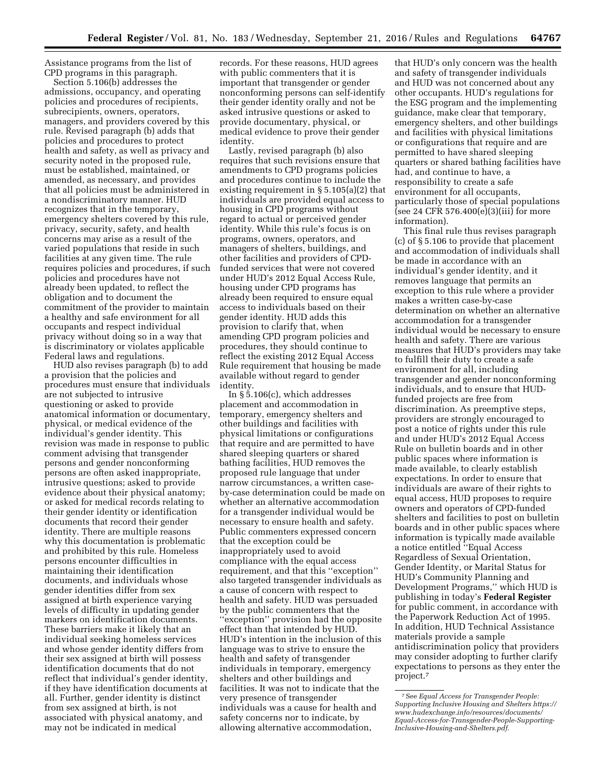Assistance programs from the list of CPD programs in this paragraph.

Section 5.106(b) addresses the admissions, occupancy, and operating policies and procedures of recipients, subrecipients, owners, operators, managers, and providers covered by this rule. Revised paragraph (b) adds that policies and procedures to protect health and safety, as well as privacy and security noted in the proposed rule, must be established, maintained, or amended, as necessary, and provides that all policies must be administered in a nondiscriminatory manner. HUD recognizes that in the temporary, emergency shelters covered by this rule, privacy, security, safety, and health concerns may arise as a result of the varied populations that reside in such facilities at any given time. The rule requires policies and procedures, if such policies and procedures have not already been updated, to reflect the obligation and to document the commitment of the provider to maintain a healthy and safe environment for all occupants and respect individual privacy without doing so in a way that is discriminatory or violates applicable Federal laws and regulations.

HUD also revises paragraph (b) to add a provision that the policies and procedures must ensure that individuals are not subjected to intrusive questioning or asked to provide anatomical information or documentary, physical, or medical evidence of the individual's gender identity. This revision was made in response to public comment advising that transgender persons and gender nonconforming persons are often asked inappropriate, intrusive questions; asked to provide evidence about their physical anatomy; or asked for medical records relating to their gender identity or identification documents that record their gender identity. There are multiple reasons why this documentation is problematic and prohibited by this rule. Homeless persons encounter difficulties in maintaining their identification documents, and individuals whose gender identities differ from sex assigned at birth experience varying levels of difficulty in updating gender markers on identification documents. These barriers make it likely that an individual seeking homeless services and whose gender identity differs from their sex assigned at birth will possess identification documents that do not reflect that individual's gender identity, if they have identification documents at all. Further, gender identity is distinct from sex assigned at birth, is not associated with physical anatomy, and may not be indicated in medical

records. For these reasons, HUD agrees with public commenters that it is important that transgender or gender nonconforming persons can self-identify their gender identity orally and not be asked intrusive questions or asked to provide documentary, physical, or medical evidence to prove their gender identity.

Lastly, revised paragraph (b) also requires that such revisions ensure that amendments to CPD programs policies and procedures continue to include the existing requirement in § 5.105(a)(2) that individuals are provided equal access to housing in CPD programs without regard to actual or perceived gender identity. While this rule's focus is on programs, owners, operators, and managers of shelters, buildings, and other facilities and providers of CPDfunded services that were not covered under HUD's 2012 Equal Access Rule, housing under CPD programs has already been required to ensure equal access to individuals based on their gender identity. HUD adds this provision to clarify that, when amending CPD program policies and procedures, they should continue to reflect the existing 2012 Equal Access Rule requirement that housing be made available without regard to gender identity.

In  $\S$ 5.106(c), which addresses placement and accommodation in temporary, emergency shelters and other buildings and facilities with physical limitations or configurations that require and are permitted to have shared sleeping quarters or shared bathing facilities, HUD removes the proposed rule language that under narrow circumstances, a written caseby-case determination could be made on whether an alternative accommodation for a transgender individual would be necessary to ensure health and safety. Public commenters expressed concern that the exception could be inappropriately used to avoid compliance with the equal access requirement, and that this ''exception'' also targeted transgender individuals as a cause of concern with respect to health and safety. HUD was persuaded by the public commenters that the ''exception'' provision had the opposite effect than that intended by HUD. HUD's intention in the inclusion of this language was to strive to ensure the health and safety of transgender individuals in temporary, emergency shelters and other buildings and facilities. It was not to indicate that the very presence of transgender individuals was a cause for health and safety concerns nor to indicate, by allowing alternative accommodation,

that HUD's only concern was the health and safety of transgender individuals and HUD was not concerned about any other occupants. HUD's regulations for the ESG program and the implementing guidance, make clear that temporary, emergency shelters, and other buildings and facilities with physical limitations or configurations that require and are permitted to have shared sleeping quarters or shared bathing facilities have had, and continue to have, a responsibility to create a safe environment for all occupants, particularly those of special populations  $($ see 24 CFR 576.400 $(e)(3)(iii)$  for more information).

This final rule thus revises paragraph (c) of § 5.106 to provide that placement and accommodation of individuals shall be made in accordance with an individual's gender identity, and it removes language that permits an exception to this rule where a provider makes a written case-by-case determination on whether an alternative accommodation for a transgender individual would be necessary to ensure health and safety. There are various measures that HUD's providers may take to fulfill their duty to create a safe environment for all, including transgender and gender nonconforming individuals, and to ensure that HUDfunded projects are free from discrimination. As preemptive steps, providers are strongly encouraged to post a notice of rights under this rule and under HUD's 2012 Equal Access Rule on bulletin boards and in other public spaces where information is made available, to clearly establish expectations. In order to ensure that individuals are aware of their rights to equal access, HUD proposes to require owners and operators of CPD-funded shelters and facilities to post on bulletin boards and in other public spaces where information is typically made available a notice entitled ''Equal Access Regardless of Sexual Orientation, Gender Identity, or Marital Status for HUD's Community Planning and Development Programs,'' which HUD is publishing in today's **Federal Register**  for public comment, in accordance with the Paperwork Reduction Act of 1995. In addition, HUD Technical Assistance materials provide a sample antidiscrimination policy that providers may consider adopting to further clarify expectations to persons as they enter the project.7

<sup>7</sup>See *Equal Access for Transgender People: Supporting Inclusive Housing and Shelters https:// www.hudexchange.info/resources/documents/ Equal-Access-for-Transgender-People-Supporting-Inclusive-Housing-and-Shelters.pdf.*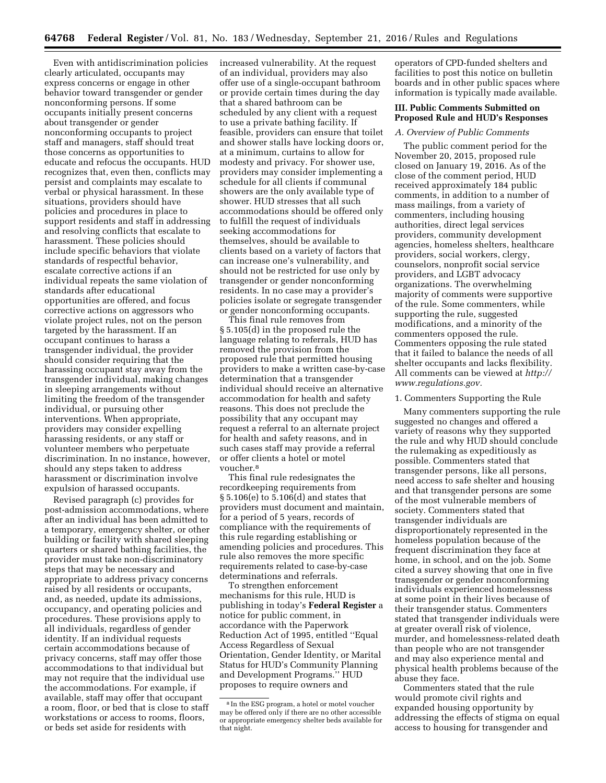Even with antidiscrimination policies clearly articulated, occupants may express concerns or engage in other behavior toward transgender or gender nonconforming persons. If some occupants initially present concerns about transgender or gender nonconforming occupants to project staff and managers, staff should treat those concerns as opportunities to educate and refocus the occupants. HUD recognizes that, even then, conflicts may persist and complaints may escalate to verbal or physical harassment. In these situations, providers should have policies and procedures in place to support residents and staff in addressing and resolving conflicts that escalate to harassment. These policies should include specific behaviors that violate standards of respectful behavior, escalate corrective actions if an individual repeats the same violation of standards after educational opportunities are offered, and focus corrective actions on aggressors who violate project rules, not on the person targeted by the harassment. If an occupant continues to harass a transgender individual, the provider should consider requiring that the harassing occupant stay away from the transgender individual, making changes in sleeping arrangements without limiting the freedom of the transgender individual, or pursuing other interventions. When appropriate, providers may consider expelling harassing residents, or any staff or volunteer members who perpetuate discrimination. In no instance, however, should any steps taken to address harassment or discrimination involve expulsion of harassed occupants.

Revised paragraph (c) provides for post-admission accommodations, where after an individual has been admitted to a temporary, emergency shelter, or other building or facility with shared sleeping quarters or shared bathing facilities, the provider must take non-discriminatory steps that may be necessary and appropriate to address privacy concerns raised by all residents or occupants, and, as needed, update its admissions, occupancy, and operating policies and procedures. These provisions apply to all individuals, regardless of gender identity. If an individual requests certain accommodations because of privacy concerns, staff may offer those accommodations to that individual but may not require that the individual use the accommodations. For example, if available, staff may offer that occupant a room, floor, or bed that is close to staff workstations or access to rooms, floors, or beds set aside for residents with

increased vulnerability. At the request of an individual, providers may also offer use of a single-occupant bathroom or provide certain times during the day that a shared bathroom can be scheduled by any client with a request to use a private bathing facility. If feasible, providers can ensure that toilet and shower stalls have locking doors or, at a minimum, curtains to allow for modesty and privacy. For shower use, providers may consider implementing a schedule for all clients if communal showers are the only available type of shower. HUD stresses that all such accommodations should be offered only to fulfill the request of individuals seeking accommodations for themselves, should be available to clients based on a variety of factors that can increase one's vulnerability, and should not be restricted for use only by transgender or gender nonconforming residents. In no case may a provider's policies isolate or segregate transgender or gender nonconforming occupants.

This final rule removes from § 5.105(d) in the proposed rule the language relating to referrals, HUD has removed the provision from the proposed rule that permitted housing providers to make a written case-by-case determination that a transgender individual should receive an alternative accommodation for health and safety reasons. This does not preclude the possibility that any occupant may request a referral to an alternate project for health and safety reasons, and in such cases staff may provide a referral or offer clients a hotel or motel voucher.8

This final rule redesignates the recordkeeping requirements from § 5.106(e) to 5.106(d) and states that providers must document and maintain, for a period of 5 years, records of compliance with the requirements of this rule regarding establishing or amending policies and procedures. This rule also removes the more specific requirements related to case-by-case determinations and referrals.

To strengthen enforcement mechanisms for this rule, HUD is publishing in today's **Federal Register** a notice for public comment, in accordance with the Paperwork Reduction Act of 1995, entitled ''Equal Access Regardless of Sexual Orientation, Gender Identity, or Marital Status for HUD's Community Planning and Development Programs.'' HUD proposes to require owners and

operators of CPD-funded shelters and facilities to post this notice on bulletin boards and in other public spaces where information is typically made available.

## **III. Public Comments Submitted on Proposed Rule and HUD's Responses**

#### *A. Overview of Public Comments*

The public comment period for the November 20, 2015, proposed rule closed on January 19, 2016. As of the close of the comment period, HUD received approximately 184 public comments, in addition to a number of mass mailings, from a variety of commenters, including housing authorities, direct legal services providers, community development agencies, homeless shelters, healthcare providers, social workers, clergy, counselors, nonprofit social service providers, and LGBT advocacy organizations. The overwhelming majority of comments were supportive of the rule. Some commenters, while supporting the rule, suggested modifications, and a minority of the commenters opposed the rule. Commenters opposing the rule stated that it failed to balance the needs of all shelter occupants and lacks flexibility. All comments can be viewed at *http:// www.regulations.gov.* 

#### 1. Commenters Supporting the Rule

Many commenters supporting the rule suggested no changes and offered a variety of reasons why they supported the rule and why HUD should conclude the rulemaking as expeditiously as possible. Commenters stated that transgender persons, like all persons, need access to safe shelter and housing and that transgender persons are some of the most vulnerable members of society. Commenters stated that transgender individuals are disproportionately represented in the homeless population because of the frequent discrimination they face at home, in school, and on the job. Some cited a survey showing that one in five transgender or gender nonconforming individuals experienced homelessness at some point in their lives because of their transgender status. Commenters stated that transgender individuals were at greater overall risk of violence, murder, and homelessness-related death than people who are not transgender and may also experience mental and physical health problems because of the abuse they face.

Commenters stated that the rule would promote civil rights and expanded housing opportunity by addressing the effects of stigma on equal access to housing for transgender and

<sup>8</sup> In the ESG program, a hotel or motel voucher may be offered only if there are no other accessible or appropriate emergency shelter beds available for that night.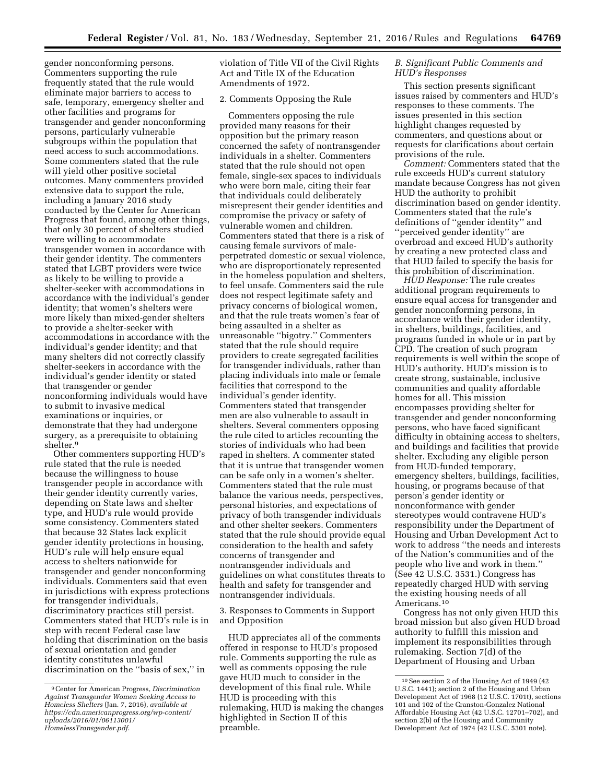gender nonconforming persons. Commenters supporting the rule frequently stated that the rule would eliminate major barriers to access to safe, temporary, emergency shelter and other facilities and programs for transgender and gender nonconforming persons, particularly vulnerable subgroups within the population that need access to such accommodations. Some commenters stated that the rule will yield other positive societal outcomes. Many commenters provided extensive data to support the rule, including a January 2016 study conducted by the Center for American Progress that found, among other things, that only 30 percent of shelters studied were willing to accommodate transgender women in accordance with their gender identity. The commenters stated that LGBT providers were twice as likely to be willing to provide a shelter-seeker with accommodations in accordance with the individual's gender identity; that women's shelters were more likely than mixed-gender shelters to provide a shelter-seeker with accommodations in accordance with the individual's gender identity; and that many shelters did not correctly classify shelter-seekers in accordance with the individual's gender identity or stated that transgender or gender nonconforming individuals would have to submit to invasive medical examinations or inquiries, or demonstrate that they had undergone surgery, as a prerequisite to obtaining shelter.9

Other commenters supporting HUD's rule stated that the rule is needed because the willingness to house transgender people in accordance with their gender identity currently varies, depending on State laws and shelter type, and HUD's rule would provide some consistency. Commenters stated that because 32 States lack explicit gender identity protections in housing, HUD's rule will help ensure equal access to shelters nationwide for transgender and gender nonconforming individuals. Commenters said that even in jurisdictions with express protections for transgender individuals, discriminatory practices still persist. Commenters stated that HUD's rule is in step with recent Federal case law holding that discrimination on the basis of sexual orientation and gender identity constitutes unlawful discrimination on the ''basis of sex,'' in

violation of Title VII of the Civil Rights Act and Title IX of the Education Amendments of 1972.

### 2. Comments Opposing the Rule

Commenters opposing the rule provided many reasons for their opposition but the primary reason concerned the safety of nontransgender individuals in a shelter. Commenters stated that the rule should not open female, single-sex spaces to individuals who were born male, citing their fear that individuals could deliberately misrepresent their gender identities and compromise the privacy or safety of vulnerable women and children. Commenters stated that there is a risk of causing female survivors of maleperpetrated domestic or sexual violence, who are disproportionately represented in the homeless population and shelters, to feel unsafe. Commenters said the rule does not respect legitimate safety and privacy concerns of biological women, and that the rule treats women's fear of being assaulted in a shelter as unreasonable ''bigotry.'' Commenters stated that the rule should require providers to create segregated facilities for transgender individuals, rather than placing individuals into male or female facilities that correspond to the individual's gender identity. Commenters stated that transgender men are also vulnerable to assault in shelters. Several commenters opposing the rule cited to articles recounting the stories of individuals who had been raped in shelters. A commenter stated that it is untrue that transgender women can be safe only in a women's shelter. Commenters stated that the rule must balance the various needs, perspectives, personal histories, and expectations of privacy of both transgender individuals and other shelter seekers. Commenters stated that the rule should provide equal consideration to the health and safety concerns of transgender and nontransgender individuals and guidelines on what constitutes threats to health and safety for transgender and nontransgender individuals.

3. Responses to Comments in Support and Opposition

HUD appreciates all of the comments offered in response to HUD's proposed rule. Comments supporting the rule as well as comments opposing the rule gave HUD much to consider in the development of this final rule. While HUD is proceeding with this rulemaking, HUD is making the changes highlighted in Section II of this preamble.

#### *B. Significant Public Comments and HUD's Responses*

This section presents significant issues raised by commenters and HUD's responses to these comments. The issues presented in this section highlight changes requested by commenters, and questions about or requests for clarifications about certain provisions of the rule.

*Comment:* Commenters stated that the rule exceeds HUD's current statutory mandate because Congress has not given HUD the authority to prohibit discrimination based on gender identity. Commenters stated that the rule's definitions of ''gender identity'' and ''perceived gender identity'' are overbroad and exceed HUD's authority by creating a new protected class and that HUD failed to specify the basis for this prohibition of discrimination.

*HUD Response:* The rule creates additional program requirements to ensure equal access for transgender and gender nonconforming persons, in accordance with their gender identity, in shelters, buildings, facilities, and programs funded in whole or in part by CPD. The creation of such program requirements is well within the scope of HUD's authority. HUD's mission is to create strong, sustainable, inclusive communities and quality affordable homes for all. This mission encompasses providing shelter for transgender and gender nonconforming persons, who have faced significant difficulty in obtaining access to shelters, and buildings and facilities that provide shelter. Excluding any eligible person from HUD-funded temporary, emergency shelters, buildings, facilities, housing, or programs because of that person's gender identity or nonconformance with gender stereotypes would contravene HUD's responsibility under the Department of Housing and Urban Development Act to work to address ''the needs and interests of the Nation's communities and of the people who live and work in them.'' (See 42 U.S.C. 3531.) Congress has repeatedly charged HUD with serving the existing housing needs of all Americans.10

Congress has not only given HUD this broad mission but also given HUD broad authority to fulfill this mission and implement its responsibilities through rulemaking. Section 7(d) of the Department of Housing and Urban

<sup>9</sup>Center for American Progress, *Discrimination Against Transgender Women Seeking Access to Homeless Shelters* (Jan. 7, 2016), *available at https://cdn.americanprogress.org/wp-content/ uploads/2016/01/06113001/ HomelessTransgender.pdf*.

<sup>10</sup>See section 2 of the Housing Act of 1949 (42 U.S.C. 1441); section 2 of the Housing and Urban Development Act of 1968 (12 U.S.C. 1701t), sections 101 and 102 of the Cranston-Gonzalez National Affordable Housing Act (42 U.S.C. 12701–702), and section 2(b) of the Housing and Community Development Act of 1974 (42 U.S.C. 5301 note).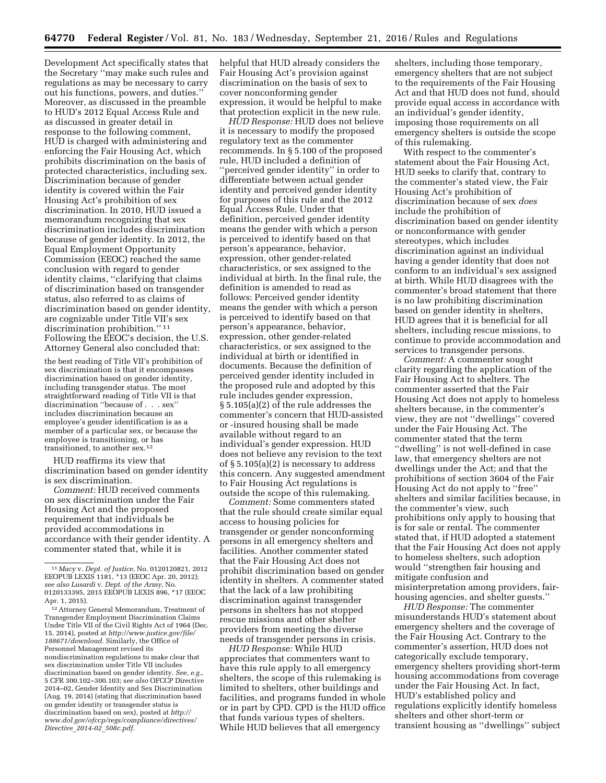Development Act specifically states that the Secretary ''may make such rules and regulations as may be necessary to carry out his functions, powers, and duties.'' Moreover, as discussed in the preamble to HUD's 2012 Equal Access Rule and as discussed in greater detail in response to the following comment, HUD is charged with administering and enforcing the Fair Housing Act, which prohibits discrimination on the basis of protected characteristics, including sex. Discrimination because of gender identity is covered within the Fair Housing Act's prohibition of sex discrimination. In 2010, HUD issued a memorandum recognizing that sex discrimination includes discrimination because of gender identity. In 2012, the Equal Employment Opportunity Commission (EEOC) reached the same conclusion with regard to gender identity claims, ''clarifying that claims of discrimination based on transgender status, also referred to as claims of discrimination based on gender identity, are cognizable under Title VII's sex discrimination prohibition.'' 11 Following the EEOC's decision, the U.S. Attorney General also concluded that:

the best reading of Title VII's prohibition of sex discrimination is that it encompasses discrimination based on gender identity, including transgender status. The most straightforward reading of Title VII is that discrimination ''because of . . . sex'' includes discrimination because an employee's gender identification is as a member of a particular sex, or because the employee is transitioning, or has transitioned, to another sex.12

HUD reaffirms its view that discrimination based on gender identity is sex discrimination.

*Comment:* HUD received comments on sex discrimination under the Fair Housing Act and the proposed requirement that individuals be provided accommodations in accordance with their gender identity. A commenter stated that, while it is

helpful that HUD already considers the Fair Housing Act's provision against discrimination on the basis of sex to cover nonconforming gender expression, it would be helpful to make that protection explicit in the new rule.

*HUD Response:* HUD does not believe it is necessary to modify the proposed regulatory text as the commenter recommends. In § 5.100 of the proposed rule, HUD included a definition of ''perceived gender identity'' in order to differentiate between actual gender identity and perceived gender identity for purposes of this rule and the 2012 Equal Access Rule. Under that definition, perceived gender identity means the gender with which a person is perceived to identify based on that person's appearance, behavior, expression, other gender-related characteristics, or sex assigned to the individual at birth. In the final rule, the definition is amended to read as follows: Perceived gender identity means the gender with which a person is perceived to identify based on that person's appearance, behavior, expression, other gender-related characteristics, or sex assigned to the individual at birth or identified in documents. Because the definition of perceived gender identity included in the proposed rule and adopted by this rule includes gender expression, § 5.105(a)(2) of the rule addresses the commenter's concern that HUD-assisted or -insured housing shall be made available without regard to an individual's gender expression. HUD does not believe any revision to the text of § 5.105(a)(2) is necessary to address this concern. Any suggested amendment to Fair Housing Act regulations is outside the scope of this rulemaking.

*Comment:* Some commenters stated that the rule should create similar equal access to housing policies for transgender or gender nonconforming persons in all emergency shelters and facilities. Another commenter stated that the Fair Housing Act does not prohibit discrimination based on gender identity in shelters. A commenter stated that the lack of a law prohibiting discrimination against transgender persons in shelters has not stopped rescue missions and other shelter providers from meeting the diverse needs of transgender persons in crisis.

*HUD Response:* While HUD appreciates that commenters want to have this rule apply to all emergency shelters, the scope of this rulemaking is limited to shelters, other buildings and facilities, and programs funded in whole or in part by CPD. CPD is the HUD office that funds various types of shelters. While HUD believes that all emergency

shelters, including those temporary, emergency shelters that are not subject to the requirements of the Fair Housing Act and that HUD does not fund, should provide equal access in accordance with an individual's gender identity, imposing those requirements on all emergency shelters is outside the scope of this rulemaking.

With respect to the commenter's statement about the Fair Housing Act, HUD seeks to clarify that, contrary to the commenter's stated view, the Fair Housing Act's prohibition of discrimination because of sex *does*  include the prohibition of discrimination based on gender identity or nonconformance with gender stereotypes, which includes discrimination against an individual having a gender identity that does not conform to an individual's sex assigned at birth. While HUD disagrees with the commenter's broad statement that there is no law prohibiting discrimination based on gender identity in shelters, HUD agrees that it is beneficial for all shelters, including rescue missions, to continue to provide accommodation and services to transgender persons.

*Comment:* A commenter sought clarity regarding the application of the Fair Housing Act to shelters. The commenter asserted that the Fair Housing Act does not apply to homeless shelters because, in the commenter's view, they are not ''dwellings'' covered under the Fair Housing Act. The commenter stated that the term ''dwelling'' is not well-defined in case law, that emergency shelters are not dwellings under the Act; and that the prohibitions of section 3604 of the Fair Housing Act do not apply to ''free'' shelters and similar facilities because, in the commenter's view, such prohibitions only apply to housing that is for sale or rental. The commenter stated that, if HUD adopted a statement that the Fair Housing Act does not apply to homeless shelters, such adoption would ''strengthen fair housing and mitigate confusion and misinterpretation among providers, fairhousing agencies, and shelter guests.''

*HUD Response:* The commenter misunderstands HUD's statement about emergency shelters and the coverage of the Fair Housing Act. Contrary to the commenter's assertion, HUD does not categorically exclude temporary, emergency shelters providing short-term housing accommodations from coverage under the Fair Housing Act. In fact, HUD's established policy and regulations explicitly identify homeless shelters and other short-term or transient housing as ''dwellings'' subject

<sup>11</sup> *Macy* v. *Dept. of Justice,* No. 0120120821, 2012 EEOPUB LEXIS 1181, \*13 (EEOC Apr. 20, 2012); *see also Lusardi* v. *Dept. of the Army,* No. 0120133395, 2015 EEOPUB LEXIS 896, \*17 (EEOC Apr. 1, 2015).

<sup>12</sup>Attorney General Memorandum, Treatment of Transgender Employment Discrimination Claims Under Title VII of the Civil Rights Act of 1964 (Dec. 15, 2014), posted at *http://www.justice.gov/file/ 188671/download.* Similarly, the Office of Personnel Management revised its nondiscrimination regulations to make clear that sex discrimination under Title VII includes discrimination based on gender identity. *See, e.g.,*  5 CFR 300.102–300.103; s*ee also* OFCCP Directive 2014–02, Gender Identity and Sex Discrimination (Aug. 19, 2014) (stating that discrimination based on gender identity or transgender status is discrimination based on sex), posted at *http:// www.dol.gov/ofccp/regs/compliance/directives/ Directive*\_*2014-02*\_*508c.pdf.*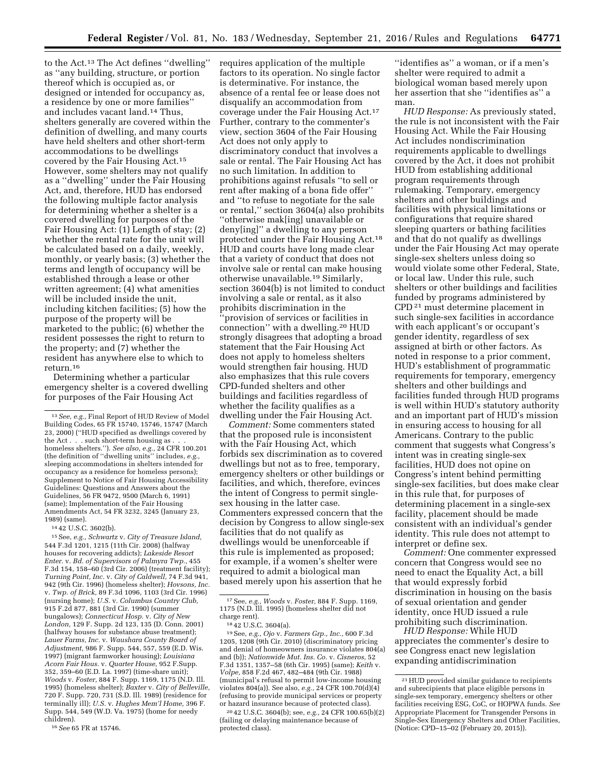to the Act.13 The Act defines ''dwelling'' as ''any building, structure, or portion thereof which is occupied as, or designed or intended for occupancy as, a residence by one or more families'' and includes vacant land.14 Thus, shelters generally are covered within the definition of dwelling, and many courts have held shelters and other short-term accommodations to be dwellings covered by the Fair Housing Act.15 However, some shelters may not qualify as a ''dwelling'' under the Fair Housing Act, and, therefore, HUD has endorsed the following multiple factor analysis for determining whether a shelter is a covered dwelling for purposes of the Fair Housing Act: (1) Length of stay; (2) whether the rental rate for the unit will be calculated based on a daily, weekly, monthly, or yearly basis; (3) whether the terms and length of occupancy will be established through a lease or other written agreement; (4) what amenities will be included inside the unit, including kitchen facilities; (5) how the purpose of the property will be marketed to the public; (6) whether the resident possesses the right to return to the property; and (7) whether the resident has anywhere else to which to return.16

Determining whether a particular emergency shelter is a covered dwelling for purposes of the Fair Housing Act

14 42 U.S.C. 3602(b).

15See, *e.g., Schwartz* v. *City of Treasure Island,*  544 F.3d 1201, 1215 (11th Cir. 2008) (halfway houses for recovering addicts); *Lakeside Resort Enter.* v. *Bd. of Supervisors of Palmyra Twp.,* 455 F.3d 154, 158–60 (3rd Cir. 2006) (treatment facility); *Turning Point, Inc.* v. *City of Caldwell,* 74 F.3d 941, 942 (9th Cir. 1996) (homeless shelter); *Hovsons, Inc.*  v. *Twp. of Brick,* 89 F.3d 1096, 1103 (3rd Cir. 1996) (nursing home); *U.S.* v. *Columbus Country Club,*  915 F.2d 877, 881 (3rd Cir. 1990) (summer bungalows); *Connecticut Hosp.* v. *City of New London,* 129 F. Supp. 2d 123, 135 (D. Conn. 2001) (halfway houses for substance abuse treatment); *Lauer Farms, Inc.* v. *Waushara County Board of Adjustment,* 986 F. Supp. 544, 557, 559 (E.D. Wis. 1997) (migrant farmworker housing); *Louisiana Acorn Fair Hous.* v. *Quarter House,* 952 F.Supp. 352, 359–60 (E.D. La. 1997) (time-share unit); *Woods* v. *Foster,* 884 F. Supp. 1169, 1175 (N.D. Ill. 1995) (homeless shelter); *Baxter* v. *City of Belleville,*  720 F. Supp. 720, 731 (S.D. Ill. 1989) (residence for terminally ill); *U.S.* v. *Hughes Mem'l Home,* 396 F. Supp. 544, 549 (W.D. Va. 1975) (home for needy children).

16*See* 65 FR at 15746.

requires application of the multiple factors to its operation. No single factor is determinative. For instance, the absence of a rental fee or lease does not disqualify an accommodation from coverage under the Fair Housing Act.17 Further, contrary to the commenter's view, section 3604 of the Fair Housing Act does not only apply to discriminatory conduct that involves a sale or rental. The Fair Housing Act has no such limitation. In addition to prohibitions against refusals ''to sell or rent after making of a bona fide offer'' and ''to refuse to negotiate for the sale or rental,'' section 3604(a) also prohibits ''otherwise mak[ing] unavailable or deny[ing]'' a dwelling to any person protected under the Fair Housing Act.18 HUD and courts have long made clear that a variety of conduct that does not involve sale or rental can make housing otherwise unavailable.19 Similarly, section 3604(b) is not limited to conduct involving a sale or rental, as it also prohibits discrimination in the ''provision of services or facilities in connection'' with a dwelling.20 HUD strongly disagrees that adopting a broad statement that the Fair Housing Act does not apply to homeless shelters would strengthen fair housing. HUD also emphasizes that this rule covers CPD-funded shelters and other buildings and facilities regardless of whether the facility qualifies as a dwelling under the Fair Housing Act.

*Comment:* Some commenters stated that the proposed rule is inconsistent with the Fair Housing Act, which forbids sex discrimination as to covered dwellings but not as to free, temporary, emergency shelters or other buildings or facilities, and which, therefore, evinces the intent of Congress to permit singlesex housing in the latter case. Commenters expressed concern that the decision by Congress to allow single-sex facilities that do not qualify as dwellings would be unenforceable if this rule is implemented as proposed; for example, if a women's shelter were required to admit a biological man based merely upon his assertion that he

20 42 U.S.C. 3604(b); see, *e.g.,* 24 CFR 100.65(b)(2) (failing or delaying maintenance because of protected class).

''identifies as'' a woman, or if a men's shelter were required to admit a biological woman based merely upon her assertion that she ''identifies as'' a man.

*HUD Response:* As previously stated, the rule is not inconsistent with the Fair Housing Act. While the Fair Housing Act includes nondiscrimination requirements applicable to dwellings covered by the Act, it does not prohibit HUD from establishing additional program requirements through rulemaking. Temporary, emergency shelters and other buildings and facilities with physical limitations or configurations that require shared sleeping quarters or bathing facilities and that do not qualify as dwellings under the Fair Housing Act may operate single-sex shelters unless doing so would violate some other Federal, State, or local law. Under this rule, such shelters or other buildings and facilities funded by programs administered by CPD 21 must determine placement in such single-sex facilities in accordance with each applicant's or occupant's gender identity, regardless of sex assigned at birth or other factors. As noted in response to a prior comment, HUD's establishment of programmatic requirements for temporary, emergency shelters and other buildings and facilities funded through HUD programs is well within HUD's statutory authority and an important part of HUD's mission in ensuring access to housing for all Americans. Contrary to the public comment that suggests what Congress's intent was in creating single-sex facilities, HUD does not opine on Congress's intent behind permitting single-sex facilities, but does make clear in this rule that, for purposes of determining placement in a single-sex facility, placement should be made consistent with an individual's gender identity. This rule does not attempt to interpret or define sex.

*Comment:* One commenter expressed concern that Congress would see no need to enact the Equality Act, a bill that would expressly forbid discrimination in housing on the basis of sexual orientation and gender identity, once HUD issued a rule prohibiting such discrimination.

*HUD Response:* While HUD appreciates the commenter's desire to see Congress enact new legislation expanding antidiscrimination

<sup>13</sup>*See, e.g.,* Final Report of HUD Review of Model Building Codes, 65 FR 15740, 15746, 15747 (March 23, 2000) (''HUD specified as dwellings covered by the Act . . . such short-term housing as . . . homeless shelters.''). *See also, e.g.,* 24 CFR 100.201 (the definition of ''dwelling units'' includes, *e.g.,*  sleeping accommodations in shelters intended for occupancy as a residence for homeless persons); Supplement to Notice of Fair Housing Accessibility Guidelines: Questions and Answers about the Guidelines, 56 FR 9472, 9500 (March 6, 1991) (same); Implementation of the Fair Housing Amendments Act, 54 FR 3232, 3245 (January 23, 1989) (same).

<sup>17</sup>See, *e.g., Woods* v. *Foster,* 884 F. Supp. 1169, 1175 (N.D. Ill. 1995) (homeless shelter did not

charge rent). 18 42 U.S.C. 3604(a). 19See, *e.g., Ojo* v. *Farmers Grp., Inc.,* 600 F.3d 1205, 1208 (9th Cir. 2010) (discriminatory pricing and denial of homeowners insurance violates 804(a) and (b)); *Nationwide Mut. Ins. Co.* v. *Cisneros,* 52 F.3d 1351, 1357–58 (6th Cir. 1995) (same); *Keith* v. *Volpe,* 858 F.2d 467, 482–484 (9th Cir. 1988) (municipal's refusal to permit low-income housing violates 804(a)). See also, *e.g.,* 24 CFR 100.70(d)(4) (refusing to provide municipal services or property or hazard insurance because of protected class).

<sup>21</sup>HUD provided similar guidance to recipients and subrecipients that place eligible persons in single-sex temporary, emergency shelters or other facilities receiving ESG, CoC, or HOPWA funds. *See*  Appropriate Placement for Transgender Persons in Single-Sex Emergency Shelters and Other Facilities, (Notice: CPD–15–02 (February 20, 2015)).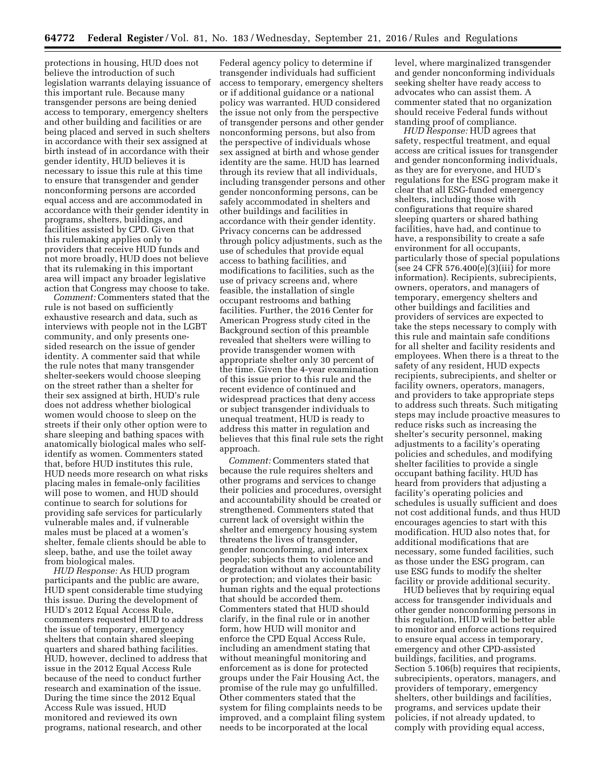protections in housing, HUD does not believe the introduction of such legislation warrants delaying issuance of this important rule. Because many transgender persons are being denied access to temporary, emergency shelters and other building and facilities or are being placed and served in such shelters in accordance with their sex assigned at birth instead of in accordance with their gender identity, HUD believes it is necessary to issue this rule at this time to ensure that transgender and gender nonconforming persons are accorded equal access and are accommodated in accordance with their gender identity in programs, shelters, buildings, and facilities assisted by CPD. Given that this rulemaking applies only to providers that receive HUD funds and not more broadly, HUD does not believe that its rulemaking in this important area will impact any broader legislative action that Congress may choose to take.

*Comment:* Commenters stated that the rule is not based on sufficiently exhaustive research and data, such as interviews with people not in the LGBT community, and only presents onesided research on the issue of gender identity. A commenter said that while the rule notes that many transgender shelter-seekers would choose sleeping on the street rather than a shelter for their sex assigned at birth, HUD's rule does not address whether biological women would choose to sleep on the streets if their only other option were to share sleeping and bathing spaces with anatomically biological males who selfidentify as women. Commenters stated that, before HUD institutes this rule, HUD needs more research on what risks placing males in female-only facilities will pose to women, and HUD should continue to search for solutions for providing safe services for particularly vulnerable males and, if vulnerable males must be placed at a women's shelter, female clients should be able to sleep, bathe, and use the toilet away from biological males.

*HUD Response:* As HUD program participants and the public are aware, HUD spent considerable time studying this issue. During the development of HUD's 2012 Equal Access Rule, commenters requested HUD to address the issue of temporary, emergency shelters that contain shared sleeping quarters and shared bathing facilities. HUD, however, declined to address that issue in the 2012 Equal Access Rule because of the need to conduct further research and examination of the issue. During the time since the 2012 Equal Access Rule was issued, HUD monitored and reviewed its own programs, national research, and other

Federal agency policy to determine if transgender individuals had sufficient access to temporary, emergency shelters or if additional guidance or a national policy was warranted. HUD considered the issue not only from the perspective of transgender persons and other gender nonconforming persons, but also from the perspective of individuals whose sex assigned at birth and whose gender identity are the same. HUD has learned through its review that all individuals, including transgender persons and other gender nonconforming persons, can be safely accommodated in shelters and other buildings and facilities in accordance with their gender identity. Privacy concerns can be addressed through policy adjustments, such as the use of schedules that provide equal access to bathing facilities, and modifications to facilities, such as the use of privacy screens and, where feasible, the installation of single occupant restrooms and bathing facilities. Further, the 2016 Center for American Progress study cited in the Background section of this preamble revealed that shelters were willing to provide transgender women with appropriate shelter only 30 percent of the time. Given the 4-year examination of this issue prior to this rule and the recent evidence of continued and widespread practices that deny access or subject transgender individuals to unequal treatment, HUD is ready to address this matter in regulation and believes that this final rule sets the right approach.

*Comment:* Commenters stated that because the rule requires shelters and other programs and services to change their policies and procedures, oversight and accountability should be created or strengthened. Commenters stated that current lack of oversight within the shelter and emergency housing system threatens the lives of transgender, gender nonconforming, and intersex people; subjects them to violence and degradation without any accountability or protection; and violates their basic human rights and the equal protections that should be accorded them. Commenters stated that HUD should clarify, in the final rule or in another form, how HUD will monitor and enforce the CPD Equal Access Rule, including an amendment stating that without meaningful monitoring and enforcement as is done for protected groups under the Fair Housing Act, the promise of the rule may go unfulfilled. Other commenters stated that the system for filing complaints needs to be improved, and a complaint filing system needs to be incorporated at the local

level, where marginalized transgender and gender nonconforming individuals seeking shelter have ready access to advocates who can assist them. A commenter stated that no organization should receive Federal funds without standing proof of compliance.

*HUD Response:* HUD agrees that safety, respectful treatment, and equal access are critical issues for transgender and gender nonconforming individuals, as they are for everyone, and HUD's regulations for the ESG program make it clear that all ESG-funded emergency shelters, including those with configurations that require shared sleeping quarters or shared bathing facilities, have had, and continue to have, a responsibility to create a safe environment for all occupants, particularly those of special populations (see 24 CFR 576.400 $(e)(3)(iii)$  for more information). Recipients, subrecipients, owners, operators, and managers of temporary, emergency shelters and other buildings and facilities and providers of services are expected to take the steps necessary to comply with this rule and maintain safe conditions for all shelter and facility residents and employees. When there is a threat to the safety of any resident, HUD expects recipients, subrecipients, and shelter or facility owners, operators, managers, and providers to take appropriate steps to address such threats. Such mitigating steps may include proactive measures to reduce risks such as increasing the shelter's security personnel, making adjustments to a facility's operating policies and schedules, and modifying shelter facilities to provide a single occupant bathing facility. HUD has heard from providers that adjusting a facility's operating policies and schedules is usually sufficient and does not cost additional funds, and thus HUD encourages agencies to start with this modification. HUD also notes that, for additional modifications that are necessary, some funded facilities, such as those under the ESG program, can use ESG funds to modify the shelter facility or provide additional security.

HUD believes that by requiring equal access for transgender individuals and other gender nonconforming persons in this regulation, HUD will be better able to monitor and enforce actions required to ensure equal access in temporary, emergency and other CPD-assisted buildings, facilities, and programs. Section 5.106(b) requires that recipients, subrecipients, operators, managers, and providers of temporary, emergency shelters, other buildings and facilities, programs, and services update their policies, if not already updated, to comply with providing equal access,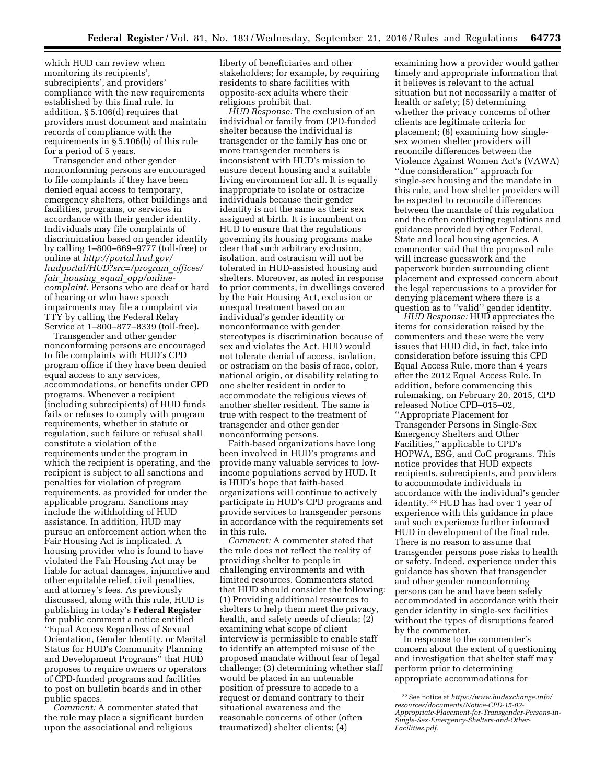which HUD can review when monitoring its recipients', subrecipients', and providers' compliance with the new requirements established by this final rule. In addition, § 5.106(d) requires that providers must document and maintain records of compliance with the requirements in § 5.106(b) of this rule for a period of 5 years.

Transgender and other gender nonconforming persons are encouraged to file complaints if they have been denied equal access to temporary, emergency shelters, other buildings and facilities, programs, or services in accordance with their gender identity. Individuals may file complaints of discrimination based on gender identity by calling 1–800–669–9777 (toll-free) or online at *http://portal.hud.gov/ hudportal/HUD?src=/program*\_*offices/ fair*\_*housing*\_*equal*\_*opp/onlinecomplaint*. Persons who are deaf or hard of hearing or who have speech impairments may file a complaint via TTY by calling the Federal Relay Service at 1–800–877–8339 (toll-free).

Transgender and other gender nonconforming persons are encouraged to file complaints with HUD's CPD program office if they have been denied equal access to any services, accommodations, or benefits under CPD programs. Whenever a recipient (including subrecipients) of HUD funds fails or refuses to comply with program requirements, whether in statute or regulation, such failure or refusal shall constitute a violation of the requirements under the program in which the recipient is operating, and the recipient is subject to all sanctions and penalties for violation of program requirements, as provided for under the applicable program. Sanctions may include the withholding of HUD assistance. In addition, HUD may pursue an enforcement action when the Fair Housing Act is implicated. A housing provider who is found to have violated the Fair Housing Act may be liable for actual damages, injunctive and other equitable relief, civil penalties, and attorney's fees. As previously discussed, along with this rule, HUD is publishing in today's **Federal Register**  for public comment a notice entitled ''Equal Access Regardless of Sexual Orientation, Gender Identity, or Marital Status for HUD's Community Planning and Development Programs'' that HUD proposes to require owners or operators of CPD-funded programs and facilities to post on bulletin boards and in other public spaces.

*Comment:* A commenter stated that the rule may place a significant burden upon the associational and religious

liberty of beneficiaries and other stakeholders; for example, by requiring residents to share facilities with opposite-sex adults where their religions prohibit that.

*HUD Response:* The exclusion of an individual or family from CPD-funded shelter because the individual is transgender or the family has one or more transgender members is inconsistent with HUD's mission to ensure decent housing and a suitable living environment for all. It is equally inappropriate to isolate or ostracize individuals because their gender identity is not the same as their sex assigned at birth. It is incumbent on HUD to ensure that the regulations governing its housing programs make clear that such arbitrary exclusion, isolation, and ostracism will not be tolerated in HUD-assisted housing and shelters. Moreover, as noted in response to prior comments, in dwellings covered by the Fair Housing Act, exclusion or unequal treatment based on an individual's gender identity or nonconformance with gender stereotypes is discrimination because of sex and violates the Act. HUD would not tolerate denial of access, isolation, or ostracism on the basis of race, color, national origin, or disability relating to one shelter resident in order to accommodate the religious views of another shelter resident. The same is true with respect to the treatment of transgender and other gender nonconforming persons.

Faith-based organizations have long been involved in HUD's programs and provide many valuable services to lowincome populations served by HUD. It is HUD's hope that faith-based organizations will continue to actively participate in HUD's CPD programs and provide services to transgender persons in accordance with the requirements set in this rule.

*Comment:* A commenter stated that the rule does not reflect the reality of providing shelter to people in challenging environments and with limited resources. Commenters stated that HUD should consider the following: (1) Providing additional resources to shelters to help them meet the privacy, health, and safety needs of clients; (2) examining what scope of client interview is permissible to enable staff to identify an attempted misuse of the proposed mandate without fear of legal challenge; (3) determining whether staff would be placed in an untenable position of pressure to accede to a request or demand contrary to their situational awareness and the reasonable concerns of other (often traumatized) shelter clients; (4)

examining how a provider would gather timely and appropriate information that it believes is relevant to the actual situation but not necessarily a matter of health or safety; (5) determining whether the privacy concerns of other clients are legitimate criteria for placement; (6) examining how singlesex women shelter providers will reconcile differences between the Violence Against Women Act's (VAWA) ''due consideration'' approach for single-sex housing and the mandate in this rule, and how shelter providers will be expected to reconcile differences between the mandate of this regulation and the often conflicting regulations and guidance provided by other Federal, State and local housing agencies. A commenter said that the proposed rule will increase guesswork and the paperwork burden surrounding client placement and expressed concern about the legal repercussions to a provider for denying placement where there is a question as to ''valid'' gender identity.

*HUD Response:* HUD appreciates the items for consideration raised by the commenters and these were the very issues that HUD did, in fact, take into consideration before issuing this CPD Equal Access Rule, more than 4 years after the 2012 Equal Access Rule. In addition, before commencing this rulemaking, on February 20, 2015, CPD released Notice CPD–015–02, ''Appropriate Placement for Transgender Persons in Single-Sex Emergency Shelters and Other Facilities,'' applicable to CPD's HOPWA, ESG, and CoC programs. This notice provides that HUD expects recipients, subrecipients, and providers to accommodate individuals in accordance with the individual's gender identity.22 HUD has had over 1 year of experience with this guidance in place and such experience further informed HUD in development of the final rule. There is no reason to assume that transgender persons pose risks to health or safety. Indeed, experience under this guidance has shown that transgender and other gender nonconforming persons can be and have been safely accommodated in accordance with their gender identity in single-sex facilities without the types of disruptions feared by the commenter.

In response to the commenter's concern about the extent of questioning and investigation that shelter staff may perform prior to determining appropriate accommodations for

<sup>22</sup>See notice at *https://www.hudexchange.info/ resources/documents/Notice-CPD-15-02- Appropriate-Placement-for-Transgender-Persons-in-Single-Sex-Emergency-Shelters-and-Other-Facilities.pdf*.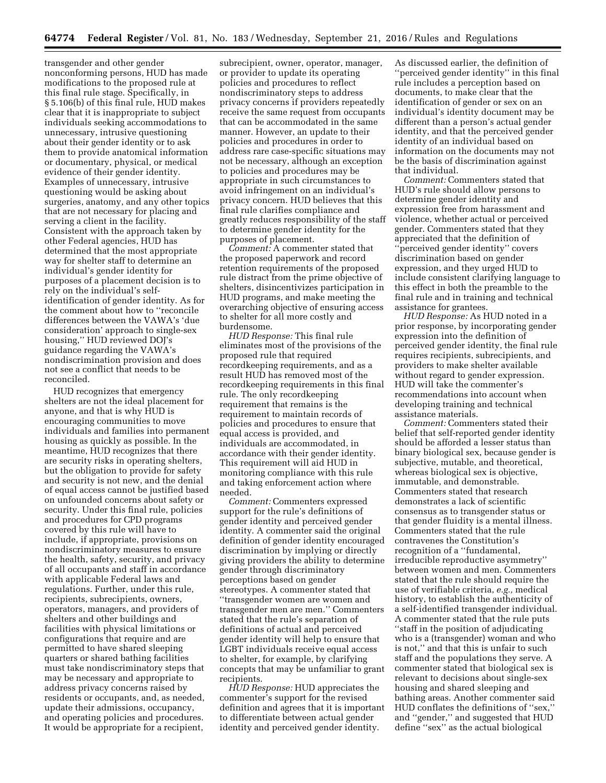transgender and other gender nonconforming persons, HUD has made modifications to the proposed rule at this final rule stage. Specifically, in § 5.106(b) of this final rule, HUD makes clear that it is inappropriate to subject individuals seeking accommodations to unnecessary, intrusive questioning about their gender identity or to ask them to provide anatomical information or documentary, physical, or medical evidence of their gender identity. Examples of unnecessary, intrusive questioning would be asking about surgeries, anatomy, and any other topics that are not necessary for placing and serving a client in the facility. Consistent with the approach taken by other Federal agencies, HUD has determined that the most appropriate way for shelter staff to determine an individual's gender identity for purposes of a placement decision is to rely on the individual's selfidentification of gender identity. As for the comment about how to ''reconcile differences between the VAWA's 'due consideration' approach to single-sex housing,'' HUD reviewed DOJ's guidance regarding the VAWA's nondiscrimination provision and does not see a conflict that needs to be reconciled.

HUD recognizes that emergency shelters are not the ideal placement for anyone, and that is why HUD is encouraging communities to move individuals and families into permanent housing as quickly as possible. In the meantime, HUD recognizes that there are security risks in operating shelters, but the obligation to provide for safety and security is not new, and the denial of equal access cannot be justified based on unfounded concerns about safety or security. Under this final rule, policies and procedures for CPD programs covered by this rule will have to include, if appropriate, provisions on nondiscriminatory measures to ensure the health, safety, security, and privacy of all occupants and staff in accordance with applicable Federal laws and regulations. Further, under this rule, recipients, subrecipients, owners, operators, managers, and providers of shelters and other buildings and facilities with physical limitations or configurations that require and are permitted to have shared sleeping quarters or shared bathing facilities must take nondiscriminatory steps that may be necessary and appropriate to address privacy concerns raised by residents or occupants, and, as needed, update their admissions, occupancy, and operating policies and procedures. It would be appropriate for a recipient,

subrecipient, owner, operator, manager, or provider to update its operating policies and procedures to reflect nondiscriminatory steps to address privacy concerns if providers repeatedly receive the same request from occupants that can be accommodated in the same manner. However, an update to their policies and procedures in order to address rare case-specific situations may not be necessary, although an exception to policies and procedures may be appropriate in such circumstances to avoid infringement on an individual's privacy concern. HUD believes that this final rule clarifies compliance and greatly reduces responsibility of the staff to determine gender identity for the purposes of placement.

*Comment:* A commenter stated that the proposed paperwork and record retention requirements of the proposed rule distract from the prime objective of shelters, disincentivizes participation in HUD programs, and make meeting the overarching objective of ensuring access to shelter for all more costly and burdensome.

*HUD Response:* This final rule eliminates most of the provisions of the proposed rule that required recordkeeping requirements, and as a result HUD has removed most of the recordkeeping requirements in this final rule. The only recordkeeping requirement that remains is the requirement to maintain records of policies and procedures to ensure that equal access is provided, and individuals are accommodated, in accordance with their gender identity. This requirement will aid HUD in monitoring compliance with this rule and taking enforcement action where needed.

*Comment:* Commenters expressed support for the rule's definitions of gender identity and perceived gender identity. A commenter said the original definition of gender identity encouraged discrimination by implying or directly giving providers the ability to determine gender through discriminatory perceptions based on gender stereotypes. A commenter stated that ''transgender women are women and transgender men are men.'' Commenters stated that the rule's separation of definitions of actual and perceived gender identity will help to ensure that LGBT individuals receive equal access to shelter, for example, by clarifying concepts that may be unfamiliar to grant recipients.

*HUD Response:* HUD appreciates the commenter's support for the revised definition and agrees that it is important to differentiate between actual gender identity and perceived gender identity.

As discussed earlier, the definition of ''perceived gender identity'' in this final rule includes a perception based on documents, to make clear that the identification of gender or sex on an individual's identity document may be different than a person's actual gender identity, and that the perceived gender identity of an individual based on information on the documents may not be the basis of discrimination against that individual.

*Comment:* Commenters stated that HUD's rule should allow persons to determine gender identity and expression free from harassment and violence, whether actual or perceived gender. Commenters stated that they appreciated that the definition of ''perceived gender identity'' covers discrimination based on gender expression, and they urged HUD to include consistent clarifying language to this effect in both the preamble to the final rule and in training and technical assistance for grantees.

*HUD Response:* As HUD noted in a prior response, by incorporating gender expression into the definition of perceived gender identity, the final rule requires recipients, subrecipients, and providers to make shelter available without regard to gender expression. HUD will take the commenter's recommendations into account when developing training and technical assistance materials.

*Comment:* Commenters stated their belief that self-reported gender identity should be afforded a lesser status than binary biological sex, because gender is subjective, mutable, and theoretical, whereas biological sex is objective, immutable, and demonstrable. Commenters stated that research demonstrates a lack of scientific consensus as to transgender status or that gender fluidity is a mental illness. Commenters stated that the rule contravenes the Constitution's recognition of a ''fundamental, irreducible reproductive asymmetry'' between women and men. Commenters stated that the rule should require the use of verifiable criteria, *e.g.,* medical history, to establish the authenticity of a self-identified transgender individual. A commenter stated that the rule puts ''staff in the position of adjudicating who is a (transgender) woman and who is not,'' and that this is unfair to such staff and the populations they serve. A commenter stated that biological sex is relevant to decisions about single-sex housing and shared sleeping and bathing areas. Another commenter said HUD conflates the definitions of ''sex,'' and ''gender,'' and suggested that HUD define ''sex'' as the actual biological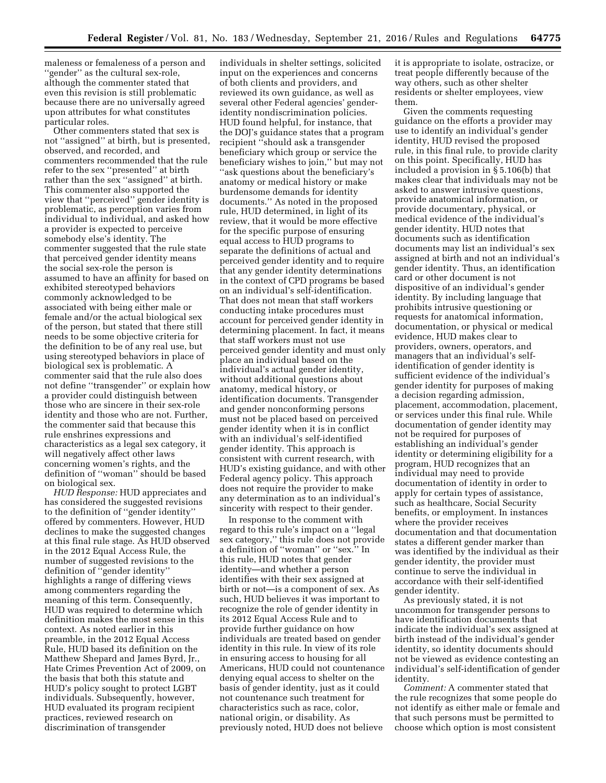maleness or femaleness of a person and ''gender'' as the cultural sex-role, although the commenter stated that even this revision is still problematic because there are no universally agreed upon attributes for what constitutes particular roles.

Other commenters stated that sex is not ''assigned'' at birth, but is presented, observed, and recorded, and commenters recommended that the rule refer to the sex ''presented'' at birth rather than the sex ''assigned'' at birth. This commenter also supported the view that ''perceived'' gender identity is problematic, as perception varies from individual to individual, and asked how a provider is expected to perceive somebody else's identity. The commenter suggested that the rule state that perceived gender identity means the social sex-role the person is assumed to have an affinity for based on exhibited stereotyped behaviors commonly acknowledged to be associated with being either male or female and/or the actual biological sex of the person, but stated that there still needs to be some objective criteria for the definition to be of any real use, but using stereotyped behaviors in place of biological sex is problematic. A commenter said that the rule also does not define ''transgender'' or explain how a provider could distinguish between those who are sincere in their sex-role identity and those who are not. Further, the commenter said that because this rule enshrines expressions and characteristics as a legal sex category, it will negatively affect other laws concerning women's rights, and the definition of ''woman'' should be based on biological sex.

*HUD Response:* HUD appreciates and has considered the suggested revisions to the definition of ''gender identity'' offered by commenters. However, HUD declines to make the suggested changes at this final rule stage. As HUD observed in the 2012 Equal Access Rule, the number of suggested revisions to the definition of ''gender identity'' highlights a range of differing views among commenters regarding the meaning of this term. Consequently, HUD was required to determine which definition makes the most sense in this context. As noted earlier in this preamble, in the 2012 Equal Access Rule, HUD based its definition on the Matthew Shepard and James Byrd, Jr., Hate Crimes Prevention Act of 2009, on the basis that both this statute and HUD's policy sought to protect LGBT individuals. Subsequently, however, HUD evaluated its program recipient practices, reviewed research on discrimination of transgender

individuals in shelter settings, solicited input on the experiences and concerns of both clients and providers, and reviewed its own guidance, as well as several other Federal agencies' genderidentity nondiscrimination policies. HUD found helpful, for instance, that the DOJ's guidance states that a program recipient ''should ask a transgender beneficiary which group or service the beneficiary wishes to join,'' but may not ''ask questions about the beneficiary's anatomy or medical history or make burdensome demands for identity documents.'' As noted in the proposed rule, HUD determined, in light of its review, that it would be more effective for the specific purpose of ensuring equal access to HUD programs to separate the definitions of actual and perceived gender identity and to require that any gender identity determinations in the context of CPD programs be based on an individual's self-identification. That does not mean that staff workers conducting intake procedures must account for perceived gender identity in determining placement. In fact, it means that staff workers must not use perceived gender identity and must only place an individual based on the individual's actual gender identity, without additional questions about anatomy, medical history, or identification documents. Transgender and gender nonconforming persons must not be placed based on perceived gender identity when it is in conflict with an individual's self-identified gender identity. This approach is consistent with current research, with HUD's existing guidance, and with other Federal agency policy. This approach does not require the provider to make any determination as to an individual's sincerity with respect to their gender.

In response to the comment with regard to this rule's impact on a ''legal sex category,'' this rule does not provide a definition of ''woman'' or ''sex.'' In this rule, HUD notes that gender identity—and whether a person identifies with their sex assigned at birth or not—is a component of sex. As such, HUD believes it was important to recognize the role of gender identity in its 2012 Equal Access Rule and to provide further guidance on how individuals are treated based on gender identity in this rule. In view of its role in ensuring access to housing for all Americans, HUD could not countenance denying equal access to shelter on the basis of gender identity, just as it could not countenance such treatment for characteristics such as race, color, national origin, or disability. As previously noted, HUD does not believe

it is appropriate to isolate, ostracize, or treat people differently because of the way others, such as other shelter residents or shelter employees, view them.

Given the comments requesting guidance on the efforts a provider may use to identify an individual's gender identity, HUD revised the proposed rule, in this final rule, to provide clarity on this point. Specifically, HUD has included a provision in § 5.106(b) that makes clear that individuals may not be asked to answer intrusive questions, provide anatomical information, or provide documentary, physical, or medical evidence of the individual's gender identity. HUD notes that documents such as identification documents may list an individual's sex assigned at birth and not an individual's gender identity. Thus, an identification card or other document is not dispositive of an individual's gender identity. By including language that prohibits intrusive questioning or requests for anatomical information, documentation, or physical or medical evidence, HUD makes clear to providers, owners, operators, and managers that an individual's selfidentification of gender identity is sufficient evidence of the individual's gender identity for purposes of making a decision regarding admission, placement, accommodation, placement, or services under this final rule. While documentation of gender identity may not be required for purposes of establishing an individual's gender identity or determining eligibility for a program, HUD recognizes that an individual may need to provide documentation of identity in order to apply for certain types of assistance, such as healthcare, Social Security benefits, or employment. In instances where the provider receives documentation and that documentation states a different gender marker than was identified by the individual as their gender identity, the provider must continue to serve the individual in accordance with their self-identified gender identity.

As previously stated, it is not uncommon for transgender persons to have identification documents that indicate the individual's sex assigned at birth instead of the individual's gender identity, so identity documents should not be viewed as evidence contesting an individual's self-identification of gender identity.

*Comment:* A commenter stated that the rule recognizes that some people do not identify as either male or female and that such persons must be permitted to choose which option is most consistent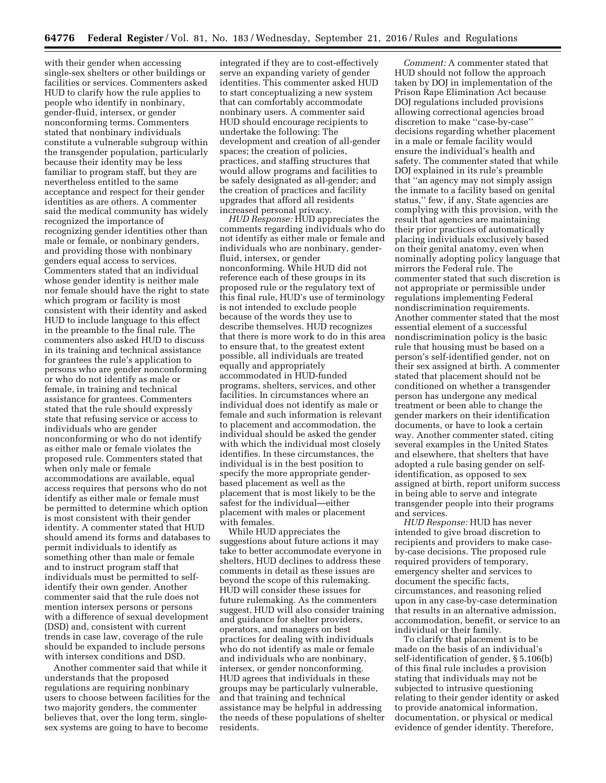with their gender when accessing single-sex shelters or other buildings or facilities or services. Commenters asked HUD to clarify how the rule applies to people who identify in nonbinary, gender-fluid, intersex, or gender nonconforming terms. Commenters stated that nonbinary individuals constitute a vulnerable subgroup within the transgender population, particularly because their identity may be less familiar to program staff, but they are nevertheless entitled to the same acceptance and respect for their gender identities as are others. A commenter said the medical community has widely recognized the importance of recognizing gender identities other than male or female, or nonbinary genders, and providing those with nonbinary genders equal access to services. Commenters stated that an individual whose gender identity is neither male nor female should have the right to state which program or facility is most consistent with their identity and asked HUD to include language to this effect in the preamble to the final rule. The commenters also asked HUD to discuss in its training and technical assistance for grantees the rule's application to persons who are gender nonconforming or who do not identify as male or female, in training and technical assistance for grantees. Commenters stated that the rule should expressly state that refusing service or access to individuals who are gender nonconforming or who do not identify as either male or female violates the proposed rule. Commenters stated that when only male or female accommodations are available, equal access requires that persons who do not identify as either male or female must be permitted to determine which option is most consistent with their gender identity. A commenter stated that HUD should amend its forms and databases to permit individuals to identify as something other than male or female and to instruct program staff that individuals must be permitted to selfidentify their own gender. Another commenter said that the rule does not mention intersex persons or persons with a difference of sexual development (DSD) and, consistent with current trends in case law, coverage of the rule should be expanded to include persons with intersex conditions and DSD.

Another commenter said that while it understands that the proposed regulations are requiring nonbinary users to choose between facilities for the two majority genders, the commenter believes that, over the long term, singlesex systems are going to have to become

integrated if they are to cost-effectively serve an expanding variety of gender identities. This commenter asked HUD to start conceptualizing a new system that can comfortably accommodate nonbinary users. A commenter said HUD should encourage recipients to undertake the following: The development and creation of all-gender spaces; the creation of policies, practices, and staffing structures that would allow programs and facilities to be safely designated as all-gender; and the creation of practices and facility upgrades that afford all residents increased personal privacy.

*HUD Response:* HUD appreciates the comments regarding individuals who do not identify as either male or female and individuals who are nonbinary, genderfluid, intersex, or gender nonconforming. While HUD did not reference each of these groups in its proposed rule or the regulatory text of this final rule, HUD's use of terminology is not intended to exclude people because of the words they use to describe themselves. HUD recognizes that there is more work to do in this area to ensure that, to the greatest extent possible, all individuals are treated equally and appropriately accommodated in HUD-funded programs, shelters, services, and other facilities. In circumstances where an individual does not identify as male or female and such information is relevant to placement and accommodation, the individual should be asked the gender with which the individual most closely identifies. In these circumstances, the individual is in the best position to specify the more appropriate genderbased placement as well as the placement that is most likely to be the safest for the individual—either placement with males or placement with females.

While HUD appreciates the suggestions about future actions it may take to better accommodate everyone in shelters, HUD declines to address these comments in detail as these issues are beyond the scope of this rulemaking. HUD will consider these issues for future rulemaking. As the commenters suggest, HUD will also consider training and guidance for shelter providers, operators, and managers on best practices for dealing with individuals who do not identify as male or female and individuals who are nonbinary, intersex, or gender nonconforming. HUD agrees that individuals in these groups may be particularly vulnerable, and that training and technical assistance may be helpful in addressing the needs of these populations of shelter residents.

*Comment:* A commenter stated that HUD should not follow the approach taken by DOJ in implementation of the Prison Rape Elimination Act because DOJ regulations included provisions allowing correctional agencies broad discretion to make ''case-by-case'' decisions regarding whether placement in a male or female facility would ensure the individual's health and safety. The commenter stated that while DOJ explained in its rule's preamble that ''an agency may not simply assign the inmate to a facility based on genital status,'' few, if any, State agencies are complying with this provision, with the result that agencies are maintaining their prior practices of automatically placing individuals exclusively based on their genital anatomy, even when nominally adopting policy language that mirrors the Federal rule. The commenter stated that such discretion is not appropriate or permissible under regulations implementing Federal nondiscrimination requirements. Another commenter stated that the most essential element of a successful nondiscrimination policy is the basic rule that housing must be based on a person's self-identified gender, not on their sex assigned at birth. A commenter stated that placement should not be conditioned on whether a transgender person has undergone any medical treatment or been able to change the gender markers on their identification documents, or have to look a certain way. Another commenter stated, citing several examples in the United States and elsewhere, that shelters that have adopted a rule basing gender on selfidentification, as opposed to sex assigned at birth, report uniform success in being able to serve and integrate transgender people into their programs and services.

*HUD Response:* HUD has never intended to give broad discretion to recipients and providers to make caseby-case decisions. The proposed rule required providers of temporary, emergency shelter and services to document the specific facts, circumstances, and reasoning relied upon in any case-by-case determination that results in an alternative admission, accommodation, benefit, or service to an individual or their family.

To clarify that placement is to be made on the basis of an individual's self-identification of gender, § 5.106(b) of this final rule includes a provision stating that individuals may not be subjected to intrusive questioning relating to their gender identity or asked to provide anatomical information, documentation, or physical or medical evidence of gender identity. Therefore,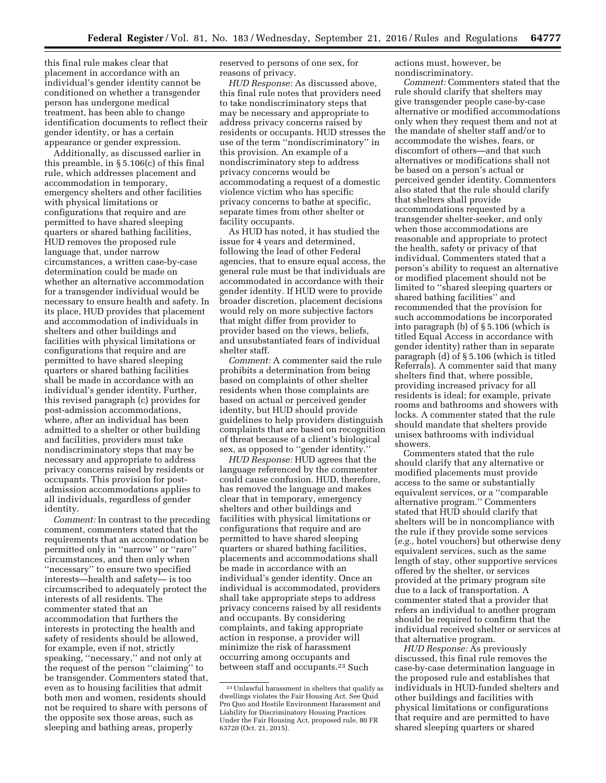this final rule makes clear that placement in accordance with an individual's gender identity cannot be conditioned on whether a transgender person has undergone medical treatment, has been able to change identification documents to reflect their gender identity, or has a certain appearance or gender expression.

Additionally, as discussed earlier in this preamble, in § 5.106(c) of this final rule, which addresses placement and accommodation in temporary, emergency shelters and other facilities with physical limitations or configurations that require and are permitted to have shared sleeping quarters or shared bathing facilities, HUD removes the proposed rule language that, under narrow circumstances, a written case-by-case determination could be made on whether an alternative accommodation for a transgender individual would be necessary to ensure health and safety. In its place, HUD provides that placement and accommodation of individuals in shelters and other buildings and facilities with physical limitations or configurations that require and are permitted to have shared sleeping quarters or shared bathing facilities shall be made in accordance with an individual's gender identity. Further, this revised paragraph (c) provides for post-admission accommodations, where, after an individual has been admitted to a shelter or other building and facilities, providers must take nondiscriminatory steps that may be necessary and appropriate to address privacy concerns raised by residents or occupants. This provision for postadmission accommodations applies to all individuals, regardless of gender identity.

*Comment:* In contrast to the preceding comment, commenters stated that the requirements that an accommodation be permitted only in ''narrow'' or ''rare'' circumstances, and then only when ''necessary'' to ensure two specified interests—health and safety— is too circumscribed to adequately protect the interests of all residents. The commenter stated that an accommodation that furthers the interests in protecting the health and safety of residents should be allowed, for example, even if not, strictly speaking, ''necessary,'' and not only at the request of the person ''claiming'' to be transgender. Commenters stated that, even as to housing facilities that admit both men and women, residents should not be required to share with persons of the opposite sex those areas, such as sleeping and bathing areas, properly

reserved to persons of one sex, for reasons of privacy.

*HUD Response:* As discussed above, this final rule notes that providers need to take nondiscriminatory steps that may be necessary and appropriate to address privacy concerns raised by residents or occupants. HUD stresses the use of the term ''nondiscriminatory'' in this provision. An example of a nondiscriminatory step to address privacy concerns would be accommodating a request of a domestic violence victim who has specific privacy concerns to bathe at specific, separate times from other shelter or facility occupants.

As HUD has noted, it has studied the issue for 4 years and determined, following the lead of other Federal agencies, that to ensure equal access, the general rule must be that individuals are accommodated in accordance with their gender identity. If HUD were to provide broader discretion, placement decisions would rely on more subjective factors that might differ from provider to provider based on the views, beliefs, and unsubstantiated fears of individual shelter staff.

*Comment:* A commenter said the rule prohibits a determination from being based on complaints of other shelter residents when those complaints are based on actual or perceived gender identity, but HUD should provide guidelines to help providers distinguish complaints that are based on recognition of threat because of a client's biological sex, as opposed to ''gender identity.''

*HUD Response:* HUD agrees that the language referenced by the commenter could cause confusion. HUD, therefore, has removed the language and makes clear that in temporary, emergency shelters and other buildings and facilities with physical limitations or configurations that require and are permitted to have shared sleeping quarters or shared bathing facilities, placements and accommodations shall be made in accordance with an individual's gender identity. Once an individual is accommodated, providers shall take appropriate steps to address privacy concerns raised by all residents and occupants. By considering complaints, and taking appropriate action in response, a provider will minimize the risk of harassment occurring among occupants and between staff and occupants.23 Such

actions must, however, be nondiscriminatory.

*Comment:* Commenters stated that the rule should clarify that shelters may give transgender people case-by-case alternative or modified accommodations only when they request them and not at the mandate of shelter staff and/or to accommodate the wishes, fears, or discomfort of others—and that such alternatives or modifications shall not be based on a person's actual or perceived gender identity. Commenters also stated that the rule should clarify that shelters shall provide accommodations requested by a transgender shelter-seeker, and only when those accommodations are reasonable and appropriate to protect the health, safety or privacy of that individual. Commenters stated that a person's ability to request an alternative or modified placement should not be limited to ''shared sleeping quarters or shared bathing facilities'' and recommended that the provision for such accommodations be incorporated into paragraph (b) of § 5.106 (which is titled Equal Access in accordance with gender identity) rather than in separate paragraph (d) of § 5.106 (which is titled Referrals). A commenter said that many shelters find that, where possible, providing increased privacy for all residents is ideal; for example, private rooms and bathrooms and showers with locks. A commenter stated that the rule should mandate that shelters provide unisex bathrooms with individual showers.

Commenters stated that the rule should clarify that any alternative or modified placements must provide access to the same or substantially equivalent services, or a ''comparable alternative program.'' Commenters stated that HUD should clarify that shelters will be in noncompliance with the rule if they provide some services (*e.g.,* hotel vouchers) but otherwise deny equivalent services, such as the same length of stay, other supportive services offered by the shelter, or services provided at the primary program site due to a lack of transportation. A commenter stated that a provider that refers an individual to another program should be required to confirm that the individual received shelter or services at that alternative program.

*HUD Response:* As previously discussed, this final rule removes the case-by-case determination language in the proposed rule and establishes that individuals in HUD-funded shelters and other buildings and facilities with physical limitations or configurations that require and are permitted to have shared sleeping quarters or shared

<sup>23</sup>Unlawful harassment in shelters that qualify as dwellings violates the Fair Housing Act. See Quid Pro Quo and Hostile Environment Harassment and Liability for Discriminatory Housing Practices Under the Fair Housing Act, proposed rule, 80 FR 63720 (Oct. 21, 2015).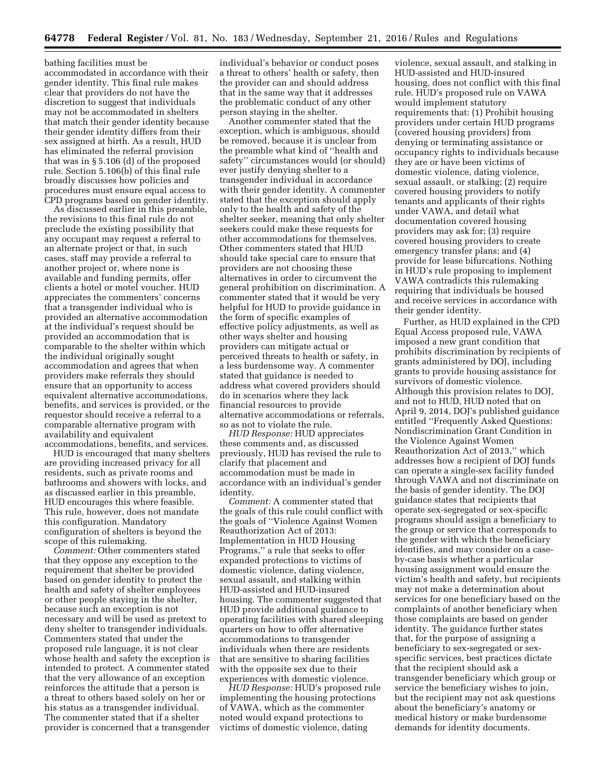bathing facilities must be accommodated in accordance with their gender identity. This final rule makes clear that providers do not have the discretion to suggest that individuals may not be accommodated in shelters that match their gender identity because their gender identity differs from their sex assigned at birth. As a result, HUD has eliminated the referral provision that was in § 5.106 (d) of the proposed rule. Section 5.106(b) of this final rule broadly discusses how policies and procedures must ensure equal access to CPD programs based on gender identity.

As discussed earlier in this preamble, the revisions to this final rule do not preclude the existing possibility that any occupant may request a referral to an alternate project or that, in such cases, staff may provide a referral to another project or, where none is available and funding permits, offer clients a hotel or motel voucher. HUD appreciates the commenters' concerns that a transgender individual who is provided an alternative accommodation at the individual's request should be provided an accommodation that is comparable to the shelter within which the individual originally sought accommodation and agrees that when providers make referrals they should ensure that an opportunity to access equivalent alternative accommodations, benefits, and services is provided, or the requestor should receive a referral to a comparable alternative program with availability and equivalent accommodations, benefits, and services.

HUD is encouraged that many shelters are providing increased privacy for all residents, such as private rooms and bathrooms and showers with locks, and as discussed earlier in this preamble, HUD encourages this where feasible. This rule, however, does not mandate this configuration. Mandatory configuration of shelters is beyond the scope of this rulemaking.

*Comment:* Other commenters stated that they oppose any exception to the requirement that shelter be provided based on gender identity to protect the health and safety of shelter employees or other people staying in the shelter, because such an exception is not necessary and will be used as pretext to deny shelter to transgender individuals. Commenters stated that under the proposed rule language, it is not clear whose health and safety the exception is intended to protect. A commenter stated that the very allowance of an exception reinforces the attitude that a person is a threat to others based solely on her or his status as a transgender individual. The commenter stated that if a shelter provider is concerned that a transgender

individual's behavior or conduct poses a threat to others' health or safety, then the provider can and should address that in the same way that it addresses the problematic conduct of any other person staying in the shelter.

Another commenter stated that the exception, which is ambiguous, should be removed, because it is unclear from the preamble what kind of ''health and safety'' circumstances would (or should) ever justify denying shelter to a transgender individual in accordance with their gender identity. A commenter stated that the exception should apply only to the health and safety of the shelter seeker, meaning that only shelter seekers could make these requests for other accommodations for themselves. Other commenters stated that HUD should take special care to ensure that providers are not choosing these alternatives in order to circumvent the general prohibition on discrimination. A commenter stated that it would be very helpful for HUD to provide guidance in the form of specific examples of effective policy adjustments, as well as other ways shelter and housing providers can mitigate actual or perceived threats to health or safety, in a less burdensome way. A commenter stated that guidance is needed to address what covered providers should do in scenarios where they lack financial resources to provide alternative accommodations or referrals, so as not to violate the rule.

*HUD Response:* HUD appreciates these comments and, as discussed previously, HUD has revised the rule to clarify that placement and accommodation must be made in accordance with an individual's gender identity.

*Comment:* A commenter stated that the goals of this rule could conflict with the goals of ''Violence Against Women Reauthorization Act of 2013: Implementation in HUD Housing Programs,'' a rule that seeks to offer expanded protections to victims of domestic violence, dating violence, sexual assault, and stalking within HUD-assisted and HUD-insured housing. The commenter suggested that HUD provide additional guidance to operating facilities with shared sleeping quarters on how to offer alternative accommodations to transgender individuals when there are residents that are sensitive to sharing facilities with the opposite sex due to their experiences with domestic violence.

*HUD Response:* HUD's proposed rule implementing the housing protections of VAWA, which as the commenter noted would expand protections to victims of domestic violence, dating

violence, sexual assault, and stalking in HUD-assisted and HUD-insured housing, does not conflict with this final rule. HUD's proposed rule on VAWA would implement statutory requirements that: (1) Prohibit housing providers under certain HUD programs (covered housing providers) from denying or terminating assistance or occupancy rights to individuals because they are or have been victims of domestic violence, dating violence, sexual assault, or stalking; (2) require covered housing providers to notify tenants and applicants of their rights under VAWA, and detail what documentation covered housing providers may ask for; (3) require covered housing providers to create emergency transfer plans; and (4) provide for lease bifurcations. Nothing in HUD's rule proposing to implement VAWA contradicts this rulemaking requiring that individuals be housed and receive services in accordance with their gender identity.

Further, as HUD explained in the CPD Equal Access proposed rule, VAWA imposed a new grant condition that prohibits discrimination by recipients of grants administered by DOJ, including grants to provide housing assistance for survivors of domestic violence. Although this provision relates to DOJ, and not to HUD, HUD noted that on April 9, 2014, DOJ's published guidance entitled ''Frequently Asked Questions: Nondiscrimination Grant Condition in the Violence Against Women Reauthorization Act of 2013,'' which addresses how a recipient of DOJ funds can operate a single-sex facility funded through VAWA and not discriminate on the basis of gender identity. The DOJ guidance states that recipients that operate sex-segregated or sex-specific programs should assign a beneficiary to the group or service that corresponds to the gender with which the beneficiary identifies, and may consider on a caseby-case basis whether a particular housing assignment would ensure the victim's health and safety, but recipients may not make a determination about services for one beneficiary based on the complaints of another beneficiary when those complaints are based on gender identity. The guidance further states that, for the purpose of assigning a beneficiary to sex-segregated or sexspecific services, best practices dictate that the recipient should ask a transgender beneficiary which group or service the beneficiary wishes to join, but the recipient may not ask questions about the beneficiary's anatomy or medical history or make burdensome demands for identity documents.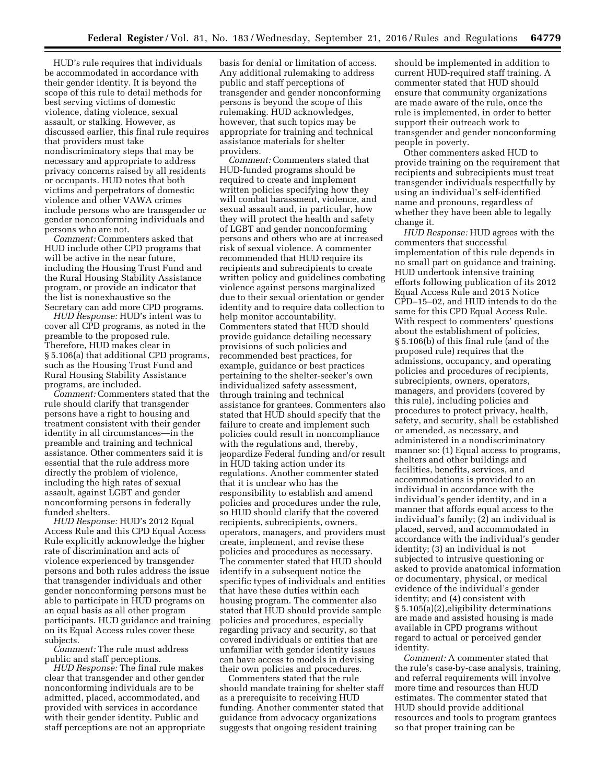HUD's rule requires that individuals be accommodated in accordance with their gender identity. It is beyond the scope of this rule to detail methods for best serving victims of domestic violence, dating violence, sexual assault, or stalking. However, as discussed earlier, this final rule requires that providers must take nondiscriminatory steps that may be necessary and appropriate to address privacy concerns raised by all residents or occupants. HUD notes that both victims and perpetrators of domestic violence and other VAWA crimes include persons who are transgender or gender nonconforming individuals and persons who are not.

*Comment:* Commenters asked that HUD include other CPD programs that will be active in the near future, including the Housing Trust Fund and the Rural Housing Stability Assistance program, or provide an indicator that the list is nonexhaustive so the Secretary can add more CPD programs.

*HUD Response:* HUD's intent was to cover all CPD programs, as noted in the preamble to the proposed rule. Therefore, HUD makes clear in § 5.106(a) that additional CPD programs, such as the Housing Trust Fund and Rural Housing Stability Assistance programs, are included.

*Comment:* Commenters stated that the rule should clarify that transgender persons have a right to housing and treatment consistent with their gender identity in all circumstances—in the preamble and training and technical assistance. Other commenters said it is essential that the rule address more directly the problem of violence, including the high rates of sexual assault, against LGBT and gender nonconforming persons in federally funded shelters.

*HUD Response:* HUD's 2012 Equal Access Rule and this CPD Equal Access Rule explicitly acknowledge the higher rate of discrimination and acts of violence experienced by transgender persons and both rules address the issue that transgender individuals and other gender nonconforming persons must be able to participate in HUD programs on an equal basis as all other program participants. HUD guidance and training on its Equal Access rules cover these subjects.

*Comment:* The rule must address public and staff perceptions.

*HUD Response:* The final rule makes clear that transgender and other gender nonconforming individuals are to be admitted, placed, accommodated, and provided with services in accordance with their gender identity. Public and staff perceptions are not an appropriate basis for denial or limitation of access. Any additional rulemaking to address public and staff perceptions of transgender and gender nonconforming persons is beyond the scope of this rulemaking. HUD acknowledges, however, that such topics may be appropriate for training and technical assistance materials for shelter providers.

*Comment:* Commenters stated that HUD-funded programs should be required to create and implement written policies specifying how they will combat harassment, violence, and sexual assault and, in particular, how they will protect the health and safety of LGBT and gender nonconforming persons and others who are at increased risk of sexual violence. A commenter recommended that HUD require its recipients and subrecipients to create written policy and guidelines combating violence against persons marginalized due to their sexual orientation or gender identity and to require data collection to help monitor accountability. Commenters stated that HUD should provide guidance detailing necessary provisions of such policies and recommended best practices, for example, guidance or best practices pertaining to the shelter-seeker's own individualized safety assessment, through training and technical assistance for grantees. Commenters also stated that HUD should specify that the failure to create and implement such policies could result in noncompliance with the regulations and, thereby, jeopardize Federal funding and/or result in HUD taking action under its regulations. Another commenter stated that it is unclear who has the responsibility to establish and amend policies and procedures under the rule, so HUD should clarify that the covered recipients, subrecipients, owners, operators, managers, and providers must create, implement, and revise these policies and procedures as necessary. The commenter stated that HUD should identify in a subsequent notice the specific types of individuals and entities that have these duties within each housing program. The commenter also stated that HUD should provide sample policies and procedures, especially regarding privacy and security, so that covered individuals or entities that are unfamiliar with gender identity issues can have access to models in devising their own policies and procedures.

Commenters stated that the rule should mandate training for shelter staff as a prerequisite to receiving HUD funding. Another commenter stated that guidance from advocacy organizations suggests that ongoing resident training

should be implemented in addition to current HUD-required staff training. A commenter stated that HUD should ensure that community organizations are made aware of the rule, once the rule is implemented, in order to better support their outreach work to transgender and gender nonconforming people in poverty.

Other commenters asked HUD to provide training on the requirement that recipients and subrecipients must treat transgender individuals respectfully by using an individual's self-identified name and pronouns, regardless of whether they have been able to legally change it.

*HUD Response:* HUD agrees with the commenters that successful implementation of this rule depends in no small part on guidance and training. HUD undertook intensive training efforts following publication of its 2012 Equal Access Rule and 2015 Notice CPD–15–02, and HUD intends to do the same for this CPD Equal Access Rule. With respect to commenters' questions about the establishment of policies, § 5.106(b) of this final rule (and of the proposed rule) requires that the admissions, occupancy, and operating policies and procedures of recipients, subrecipients, owners, operators, managers, and providers (covered by this rule), including policies and procedures to protect privacy, health, safety, and security, shall be established or amended, as necessary, and administered in a nondiscriminatory manner so: (1) Equal access to programs, shelters and other buildings and facilities, benefits, services, and accommodations is provided to an individual in accordance with the individual's gender identity, and in a manner that affords equal access to the individual's family; (2) an individual is placed, served, and accommodated in accordance with the individual's gender identity; (3) an individual is not subjected to intrusive questioning or asked to provide anatomical information or documentary, physical, or medical evidence of the individual's gender identity; and (4) consistent with § 5.105(a)(2),eligibility determinations are made and assisted housing is made available in CPD programs without regard to actual or perceived gender identity.

*Comment:* A commenter stated that the rule's case-by-case analysis, training, and referral requirements will involve more time and resources than HUD estimates. The commenter stated that HUD should provide additional resources and tools to program grantees so that proper training can be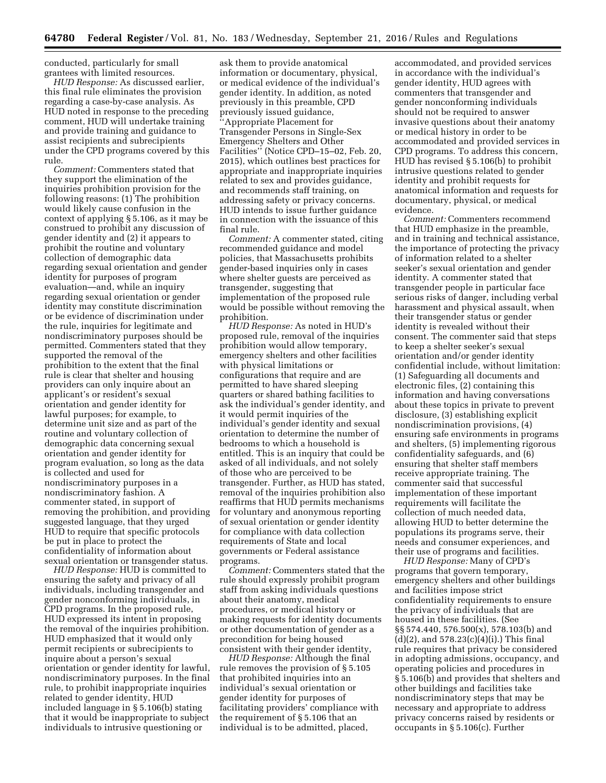conducted, particularly for small grantees with limited resources.

*HUD Response:* As discussed earlier, this final rule eliminates the provision regarding a case-by-case analysis. As HUD noted in response to the preceding comment, HUD will undertake training and provide training and guidance to assist recipients and subrecipients under the CPD programs covered by this rule.

*Comment:* Commenters stated that they support the elimination of the inquiries prohibition provision for the following reasons: (1) The prohibition would likely cause confusion in the context of applying § 5.106, as it may be construed to prohibit any discussion of gender identity and (2) it appears to prohibit the routine and voluntary collection of demographic data regarding sexual orientation and gender identity for purposes of program evaluation—and, while an inquiry regarding sexual orientation or gender identity may constitute discrimination or be evidence of discrimination under the rule, inquiries for legitimate and nondiscriminatory purposes should be permitted. Commenters stated that they supported the removal of the prohibition to the extent that the final rule is clear that shelter and housing providers can only inquire about an applicant's or resident's sexual orientation and gender identity for lawful purposes; for example, to determine unit size and as part of the routine and voluntary collection of demographic data concerning sexual orientation and gender identity for program evaluation, so long as the data is collected and used for nondiscriminatory purposes in a nondiscriminatory fashion. A commenter stated, in support of removing the prohibition, and providing suggested language, that they urged HUD to require that specific protocols be put in place to protect the confidentiality of information about sexual orientation or transgender status.

*HUD Response:* HUD is committed to ensuring the safety and privacy of all individuals, including transgender and gender nonconforming individuals, in CPD programs. In the proposed rule, HUD expressed its intent in proposing the removal of the inquiries prohibition. HUD emphasized that it would only permit recipients or subrecipients to inquire about a person's sexual orientation or gender identity for lawful, nondiscriminatory purposes. In the final rule, to prohibit inappropriate inquiries related to gender identity, HUD included language in § 5.106(b) stating that it would be inappropriate to subject individuals to intrusive questioning or

ask them to provide anatomical information or documentary, physical, or medical evidence of the individual's gender identity. In addition, as noted previously in this preamble, CPD previously issued guidance, ''Appropriate Placement for Transgender Persons in Single-Sex Emergency Shelters and Other Facilities'' (Notice CPD–15–02, Feb. 20, 2015), which outlines best practices for appropriate and inappropriate inquiries related to sex and provides guidance, and recommends staff training, on addressing safety or privacy concerns. HUD intends to issue further guidance in connection with the issuance of this final rule.

*Comment:* A commenter stated, citing recommended guidance and model policies, that Massachusetts prohibits gender-based inquiries only in cases where shelter guests are perceived as transgender, suggesting that implementation of the proposed rule would be possible without removing the prohibition.

*HUD Response:* As noted in HUD's proposed rule, removal of the inquiries prohibition would allow temporary, emergency shelters and other facilities with physical limitations or configurations that require and are permitted to have shared sleeping quarters or shared bathing facilities to ask the individual's gender identity, and it would permit inquiries of the individual's gender identity and sexual orientation to determine the number of bedrooms to which a household is entitled. This is an inquiry that could be asked of all individuals, and not solely of those who are perceived to be transgender. Further, as HUD has stated, removal of the inquiries prohibition also reaffirms that HUD permits mechanisms for voluntary and anonymous reporting of sexual orientation or gender identity for compliance with data collection requirements of State and local governments or Federal assistance programs.

*Comment:* Commenters stated that the rule should expressly prohibit program staff from asking individuals questions about their anatomy, medical procedures, or medical history or making requests for identity documents or other documentation of gender as a precondition for being housed consistent with their gender identity,

*HUD Response:* Although the final rule removes the provision of § 5.105 that prohibited inquiries into an individual's sexual orientation or gender identity for purposes of facilitating providers' compliance with the requirement of § 5.106 that an individual is to be admitted, placed,

accommodated, and provided services in accordance with the individual's gender identity, HUD agrees with commenters that transgender and gender nonconforming individuals should not be required to answer invasive questions about their anatomy or medical history in order to be accommodated and provided services in CPD programs. To address this concern, HUD has revised § 5.106(b) to prohibit intrusive questions related to gender identity and prohibit requests for anatomical information and requests for documentary, physical, or medical evidence.

*Comment:* Commenters recommend that HUD emphasize in the preamble, and in training and technical assistance, the importance of protecting the privacy of information related to a shelter seeker's sexual orientation and gender identity. A commenter stated that transgender people in particular face serious risks of danger, including verbal harassment and physical assault, when their transgender status or gender identity is revealed without their consent. The commenter said that steps to keep a shelter seeker's sexual orientation and/or gender identity confidential include, without limitation: (1) Safeguarding all documents and electronic files, (2) containing this information and having conversations about these topics in private to prevent disclosure, (3) establishing explicit nondiscrimination provisions, (4) ensuring safe environments in programs and shelters, (5) implementing rigorous confidentiality safeguards, and (6) ensuring that shelter staff members receive appropriate training. The commenter said that successful implementation of these important requirements will facilitate the collection of much needed data, allowing HUD to better determine the populations its programs serve, their needs and consumer experiences, and their use of programs and facilities.

*HUD Response:* Many of CPD's programs that govern temporary, emergency shelters and other buildings and facilities impose strict confidentiality requirements to ensure the privacy of individuals that are housed in these facilities. (See §§ 574.440, 576.500(x), 578.103(b) and  $(d)(2)$ , and 578.23 $(c)(4)(i)$ .) This final rule requires that privacy be considered in adopting admissions, occupancy, and operating policies and procedures in § 5.106(b) and provides that shelters and other buildings and facilities take nondiscriminatory steps that may be necessary and appropriate to address privacy concerns raised by residents or occupants in § 5.106(c). Further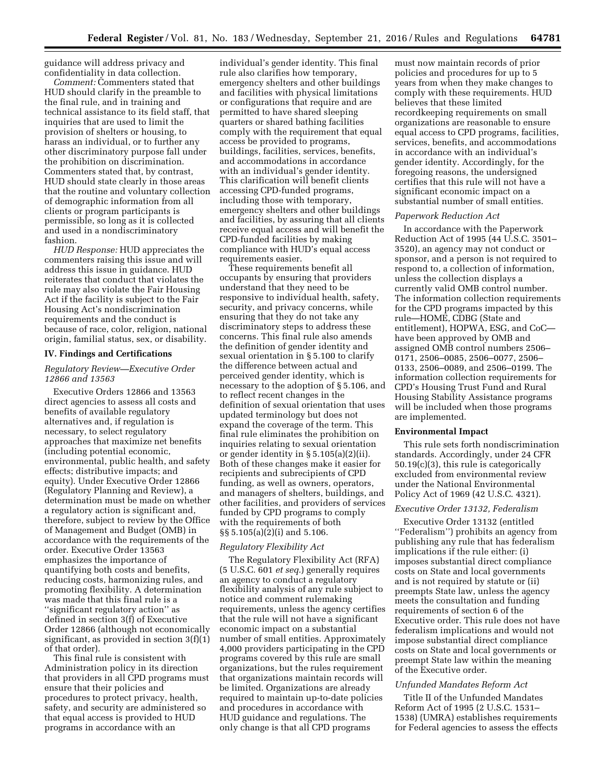guidance will address privacy and confidentiality in data collection.

*Comment:* Commenters stated that HUD should clarify in the preamble to the final rule, and in training and technical assistance to its field staff, that inquiries that are used to limit the provision of shelters or housing, to harass an individual, or to further any other discriminatory purpose fall under the prohibition on discrimination. Commenters stated that, by contrast, HUD should state clearly in those areas that the routine and voluntary collection of demographic information from all clients or program participants is permissible, so long as it is collected and used in a nondiscriminatory fashion.

*HUD Response:* HUD appreciates the commenters raising this issue and will address this issue in guidance. HUD reiterates that conduct that violates the rule may also violate the Fair Housing Act if the facility is subject to the Fair Housing Act's nondiscrimination requirements and the conduct is because of race, color, religion, national origin, familial status, sex, or disability.

#### **IV. Findings and Certifications**

## *Regulatory Review—Executive Order 12866 and 13563*

Executive Orders 12866 and 13563 direct agencies to assess all costs and benefits of available regulatory alternatives and, if regulation is necessary, to select regulatory approaches that maximize net benefits (including potential economic, environmental, public health, and safety effects; distributive impacts; and equity). Under Executive Order 12866 (Regulatory Planning and Review), a determination must be made on whether a regulatory action is significant and, therefore, subject to review by the Office of Management and Budget (OMB) in accordance with the requirements of the order. Executive Order 13563 emphasizes the importance of quantifying both costs and benefits, reducing costs, harmonizing rules, and promoting flexibility. A determination was made that this final rule is a ''significant regulatory action'' as defined in section 3(f) of Executive Order 12866 (although not economically significant, as provided in section 3(f)(1) of that order).

This final rule is consistent with Administration policy in its direction that providers in all CPD programs must ensure that their policies and procedures to protect privacy, health, safety, and security are administered so that equal access is provided to HUD programs in accordance with an

individual's gender identity. This final rule also clarifies how temporary, emergency shelters and other buildings and facilities with physical limitations or configurations that require and are permitted to have shared sleeping quarters or shared bathing facilities comply with the requirement that equal access be provided to programs, buildings, facilities, services, benefits, and accommodations in accordance with an individual's gender identity. This clarification will benefit clients accessing CPD-funded programs, including those with temporary, emergency shelters and other buildings and facilities, by assuring that all clients receive equal access and will benefit the CPD-funded facilities by making compliance with HUD's equal access requirements easier.

These requirements benefit all occupants by ensuring that providers understand that they need to be responsive to individual health, safety, security, and privacy concerns, while ensuring that they do not take any discriminatory steps to address these concerns. This final rule also amends the definition of gender identity and sexual orientation in § 5.100 to clarify the difference between actual and perceived gender identity, which is necessary to the adoption of § 5.106, and to reflect recent changes in the definition of sexual orientation that uses updated terminology but does not expand the coverage of the term. This final rule eliminates the prohibition on inquiries relating to sexual orientation or gender identity in § 5.105(a)(2)(ii). Both of these changes make it easier for recipients and subrecipients of CPD funding, as well as owners, operators, and managers of shelters, buildings, and other facilities, and providers of services funded by CPD programs to comply with the requirements of both §§ 5.105(a)(2)(i) and 5.106.

## *Regulatory Flexibility Act*

The Regulatory Flexibility Act (RFA) (5 U.S.C. 601 *et seq.*) generally requires an agency to conduct a regulatory flexibility analysis of any rule subject to notice and comment rulemaking requirements, unless the agency certifies that the rule will not have a significant economic impact on a substantial number of small entities. Approximately 4,000 providers participating in the CPD programs covered by this rule are small organizations, but the rules requirement that organizations maintain records will be limited. Organizations are already required to maintain up-to-date policies and procedures in accordance with HUD guidance and regulations. The only change is that all CPD programs

must now maintain records of prior policies and procedures for up to 5 years from when they make changes to comply with these requirements. HUD believes that these limited recordkeeping requirements on small organizations are reasonable to ensure equal access to CPD programs, facilities, services, benefits, and accommodations in accordance with an individual's gender identity. Accordingly, for the foregoing reasons, the undersigned certifies that this rule will not have a significant economic impact on a substantial number of small entities.

#### *Paperwork Reduction Act*

In accordance with the Paperwork Reduction Act of 1995 (44 U.S.C. 3501– 3520), an agency may not conduct or sponsor, and a person is not required to respond to, a collection of information, unless the collection displays a currently valid OMB control number. The information collection requirements for the CPD programs impacted by this rule—HOME, CDBG (State and entitlement), HOPWA, ESG, and CoC have been approved by OMB and assigned OMB control numbers 2506– 0171, 2506–0085, 2506–0077, 2506– 0133, 2506–0089, and 2506–0199. The information collection requirements for CPD's Housing Trust Fund and Rural Housing Stability Assistance programs will be included when those programs are implemented.

### **Environmental Impact**

This rule sets forth nondiscrimination standards. Accordingly, under 24 CFR 50.19(c)(3), this rule is categorically excluded from environmental review under the National Environmental Policy Act of 1969 (42 U.S.C. 4321).

#### *Executive Order 13132, Federalism*

Executive Order 13132 (entitled ''Federalism'') prohibits an agency from publishing any rule that has federalism implications if the rule either: (i) imposes substantial direct compliance costs on State and local governments and is not required by statute or (ii) preempts State law, unless the agency meets the consultation and funding requirements of section 6 of the Executive order. This rule does not have federalism implications and would not impose substantial direct compliance costs on State and local governments or preempt State law within the meaning of the Executive order.

#### *Unfunded Mandates Reform Act*

Title II of the Unfunded Mandates Reform Act of 1995 (2 U.S.C. 1531– 1538) (UMRA) establishes requirements for Federal agencies to assess the effects